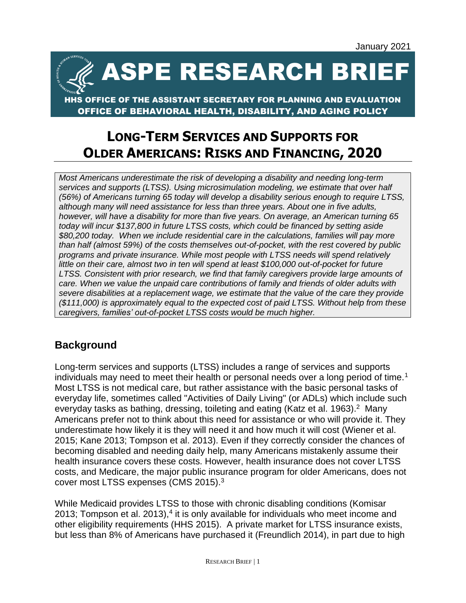ASPE RESEARCH BRIEF

## OFFICE OF THE ASSISTANT SECRETARY FOR PLANNING AND EVALUATION OFFICE OF BEHAVIORAL HEALTH, DISABILITY, AND AGING POLICY

# **LONG-TERM SERVICES AND SUPPORTS FOR OLDER AMERICANS: RISKS AND FINANCING, 2020**

*Most Americans underestimate the risk of developing a disability and needing long-term services and supports (LTSS). Using microsimulation modeling, we estimate that over half (56%) of Americans turning 65 today will develop a disability serious enough to require LTSS, although many will need assistance for less than three years. About one in five adults, however, will have a disability for more than five years. On average, an American turning 65 today will incur \$137,800 in future LTSS costs, which could be financed by setting aside \$80,200 today. When we include residential care in the calculations, families will pay more than half (almost 59%) of the costs themselves out-of-pocket, with the rest covered by public programs and private insurance. While most people with LTSS needs will spend relatively little on their care, almost two in ten will spend at least \$100,000 out-of-pocket for future LTSS. Consistent with prior research, we find that family caregivers provide large amounts of care. When we value the unpaid care contributions of family and friends of older adults with severe disabilities at a replacement wage, we estimate that the value of the care they provide (\$111,000) is approximately equal to the expected cost of paid LTSS. Without help from these caregivers, families' out-of-pocket LTSS costs would be much higher.*

# **Background**

Long-term services and supports (LTSS) includes a range of services and supports individuals may need to meet their health or personal needs over a long period of time.<sup>1</sup> Most LTSS is not medical care, but rather assistance with the basic personal tasks of everyday life, sometimes called "Activities of Daily Living" (or ADLs) which include such everyday tasks as bathing, dressing, toileting and eating (Katz et al. 1963).<sup>2</sup> Many Americans prefer not to think about this need for assistance or who will provide it. They underestimate how likely it is they will need it and how much it will cost (Wiener et al. 2015; Kane 2013; Tompson et al. 2013). Even if they correctly consider the chances of becoming disabled and needing daily help, many Americans mistakenly assume their health insurance covers these costs. However, health insurance does not cover LTSS costs, and Medicare, the major public insurance program for older Americans, does not cover most LTSS expenses (CMS 2015).<sup>3</sup>

While Medicaid provides LTSS to those with chronic disabling conditions (Komisar 2013; Tompson et al.  $2013$ ), $4$  it is only available for individuals who meet income and other eligibility requirements (HHS 2015). A private market for LTSS insurance exists, but less than 8% of Americans have purchased it (Freundlich 2014), in part due to high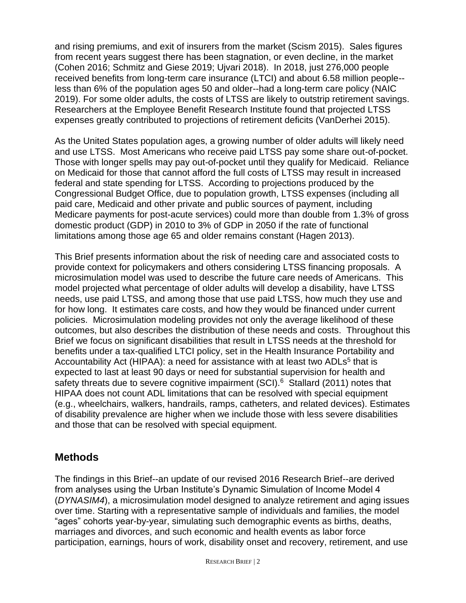and rising premiums, and exit of insurers from the market (Scism 2015). Sales figures from recent years suggest there has been stagnation, or even decline, in the market (Cohen 2016; Schmitz and Giese 2019; Ujvari 2018). In 2018, just 276,000 people received benefits from long-term care insurance (LTCI) and about 6.58 million people- less than 6% of the population ages 50 and older--had a long-term care policy (NAIC 2019). For some older adults, the costs of LTSS are likely to outstrip retirement savings. Researchers at the Employee Benefit Research Institute found that projected LTSS expenses greatly contributed to projections of retirement deficits (VanDerhei 2015).

As the United States population ages, a growing number of older adults will likely need and use LTSS. Most Americans who receive paid LTSS pay some share out-of-pocket. Those with longer spells may pay out-of-pocket until they qualify for Medicaid. Reliance on Medicaid for those that cannot afford the full costs of LTSS may result in increased federal and state spending for LTSS. According to projections produced by the Congressional Budget Office, due to population growth, LTSS expenses (including all paid care, Medicaid and other private and public sources of payment, including Medicare payments for post-acute services) could more than double from 1.3% of gross domestic product (GDP) in 2010 to 3% of GDP in 2050 if the rate of functional limitations among those age 65 and older remains constant (Hagen 2013).

This Brief presents information about the risk of needing care and associated costs to provide context for policymakers and others considering LTSS financing proposals. A microsimulation model was used to describe the future care needs of Americans. This model projected what percentage of older adults will develop a disability, have LTSS needs, use paid LTSS, and among those that use paid LTSS, how much they use and for how long. It estimates care costs, and how they would be financed under current policies. Microsimulation modeling provides not only the average likelihood of these outcomes, but also describes the distribution of these needs and costs. Throughout this Brief we focus on significant disabilities that result in LTSS needs at the threshold for benefits under a tax-qualified LTCI policy, set in the Health Insurance Portability and Accountability Act (HIPAA): a need for assistance with at least two ADLs<sup>5</sup> that is expected to last at least 90 days or need for substantial supervision for health and safety threats due to severe cognitive impairment (SCI).<sup>6</sup> Stallard (2011) notes that HIPAA does not count ADL limitations that can be resolved with special equipment (e.g., wheelchairs, walkers, handrails, ramps, catheters, and related devices). Estimates of disability prevalence are higher when we include those with less severe disabilities and those that can be resolved with special equipment.

# **Methods**

The findings in this Brief--an update of our revised 2016 Research Brief--are derived from analyses using the Urban Institute's Dynamic Simulation of Income Model 4 (*DYNASIM4*), a microsimulation model designed to analyze retirement and aging issues over time. Starting with a representative sample of individuals and families, the model "ages" cohorts year-by-year, simulating such demographic events as births, deaths, marriages and divorces, and such economic and health events as labor force participation, earnings, hours of work, disability onset and recovery, retirement, and use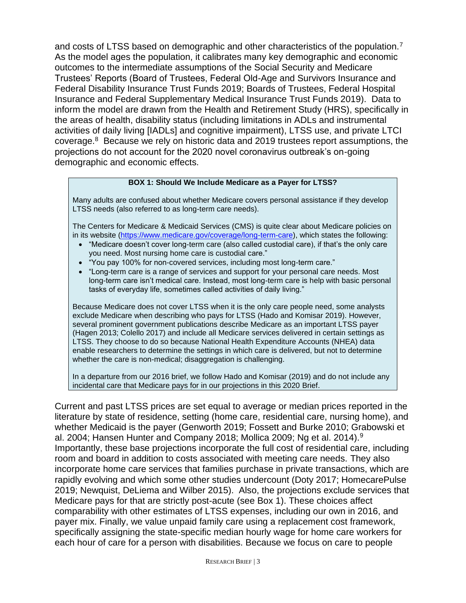and costs of LTSS based on demographic and other characteristics of the population.<sup>7</sup> As the model ages the population, it calibrates many key demographic and economic outcomes to the intermediate assumptions of the Social Security and Medicare Trustees' Reports (Board of Trustees, Federal Old-Age and Survivors Insurance and Federal Disability Insurance Trust Funds 2019; Boards of Trustees, Federal Hospital Insurance and Federal Supplementary Medical Insurance Trust Funds 2019). Data to inform the model are drawn from the Health and Retirement Study (HRS), specifically in the areas of health, disability status (including limitations in ADLs and instrumental activities of daily living [IADLs] and cognitive impairment), LTSS use, and private LTCI coverage.<sup>8</sup> Because we rely on historic data and 2019 trustees report assumptions, the projections do not account for the 2020 novel coronavirus outbreak's on-going demographic and economic effects.

#### **BOX 1: Should We Include Medicare as a Payer for LTSS?**

Many adults are confused about whether Medicare covers personal assistance if they develop LTSS needs (also referred to as long-term care needs).

The Centers for Medicare & Medicaid Services (CMS) is quite clear about Medicare policies on in its website [\(https://www.medicare.gov/coverage/long-term-care\)](https://www.medicare.gov/coverage/long-term-care), which states the following:

- "Medicare doesn't cover long-term care (also called custodial care), if that's the only care you need. Most nursing home care is custodial care."
- "You pay 100% for non-covered services, including most long-term care."
- "Long-term care is a range of services and support for your personal care needs. Most long-term care isn't medical care. Instead, most long-term care is help with basic personal tasks of everyday life, sometimes called activities of daily living."

Because Medicare does not cover LTSS when it is the only care people need, some analysts exclude Medicare when describing who pays for LTSS (Hado and Komisar 2019). However, several prominent government publications describe Medicare as an important LTSS payer (Hagen 2013; Colello 2017) and include all Medicare services delivered in certain settings as LTSS. They choose to do so because National Health Expenditure Accounts (NHEA) data enable researchers to determine the settings in which care is delivered, but not to determine whether the care is non-medical; disaggregation is challenging.

In a departure from our 2016 brief, we follow Hado and Komisar (2019) and do not include any incidental care that Medicare pays for in our projections in this 2020 Brief.

Current and past LTSS prices are set equal to average or median prices reported in the literature by state of residence, setting (home care, residential care, nursing home), and whether Medicaid is the payer (Genworth 2019; Fossett and Burke 2010; Grabowski et al. 2004; Hansen Hunter and Company 2018; Mollica 2009; Ng et al. 2014). $9$ Importantly, these base projections incorporate the full cost of residential care, including room and board in addition to costs associated with meeting care needs. They also incorporate home care services that families purchase in private transactions, which are rapidly evolving and which some other studies undercount (Doty 2017; HomecarePulse 2019; Newquist, DeLiema and Wilber 2015). Also, the projections exclude services that Medicare pays for that are strictly post-acute (see Box 1). These choices affect comparability with other estimates of LTSS expenses, including our own in 2016, and payer mix. Finally, we value unpaid family care using a replacement cost framework, specifically assigning the state-specific median hourly wage for home care workers for each hour of care for a person with disabilities. Because we focus on care to people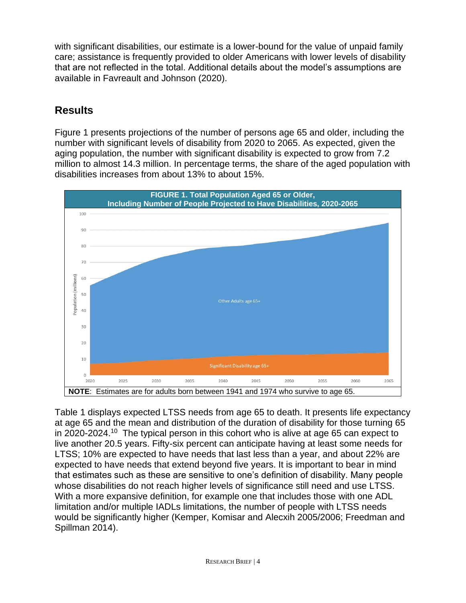with significant disabilities, our estimate is a lower-bound for the value of unpaid family care; assistance is frequently provided to older Americans with lower levels of disability that are not reflected in the total. Additional details about the model's assumptions are available in Favreault and Johnson (2020).

# **Results**

Figure 1 presents projections of the number of persons age 65 and older, including the number with significant levels of disability from 2020 to 2065. As expected, given the aging population, the number with significant disability is expected to grow from 7.2 million to almost 14.3 million. In percentage terms, the share of the aged population with disabilities increases from about 13% to about 15%.



Table 1 displays expected LTSS needs from age 65 to death. It presents life expectancy at age 65 and the mean and distribution of the duration of disability for those turning 65 in 2020-2024.<sup>10</sup> The typical person in this cohort who is alive at age 65 can expect to live another 20.5 years. Fifty-six percent can anticipate having at least some needs for LTSS; 10% are expected to have needs that last less than a year, and about 22% are expected to have needs that extend beyond five years. It is important to bear in mind that estimates such as these are sensitive to one's definition of disability. Many people whose disabilities do not reach higher levels of significance still need and use LTSS. With a more expansive definition, for example one that includes those with one ADL limitation and/or multiple IADLs limitations, the number of people with LTSS needs would be significantly higher (Kemper, Komisar and Alecxih 2005/2006; Freedman and Spillman 2014).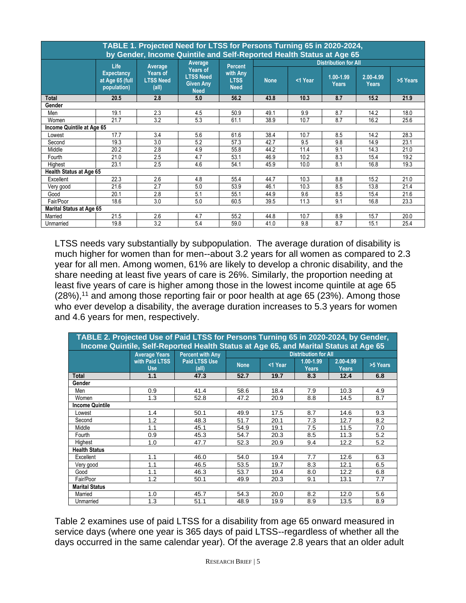|                                 | TABLE 1. Projected Need for LTSS for Persons Turning 65 in 2020-2024,<br>by Gender, Income Quintile and Self-Reported Health Status at Age 65 |                                       |                                                                 |                                        |                             |         |                               |                           |          |  |  |  |
|---------------------------------|-----------------------------------------------------------------------------------------------------------------------------------------------|---------------------------------------|-----------------------------------------------------------------|----------------------------------------|-----------------------------|---------|-------------------------------|---------------------------|----------|--|--|--|
|                                 | Life                                                                                                                                          | Average                               | Average                                                         | <b>Percent</b>                         | <b>Distribution for All</b> |         |                               |                           |          |  |  |  |
|                                 | <b>Expectancy</b><br>at Age 65 (full<br>population)                                                                                           | Years of<br><b>LTSS Need</b><br>(all) | Years of<br><b>LTSS Need</b><br><b>Given Any</b><br><b>Need</b> | with Any<br><b>LTSS</b><br><b>Need</b> | <b>None</b>                 | <1 Year | $1.00 - 1.99$<br><b>Years</b> | 2.00-4.99<br><b>Years</b> | >5 Years |  |  |  |
| Total                           | 20.5                                                                                                                                          | 2.8                                   | 5.0                                                             | 56.2                                   | 43.8                        | 10.3    | 8.7                           | 15.2                      | 21.9     |  |  |  |
| Gender                          |                                                                                                                                               |                                       |                                                                 |                                        |                             |         |                               |                           |          |  |  |  |
| Men                             | 19.1                                                                                                                                          | 2.3                                   | 4.5                                                             | 50.9                                   | 49.1                        | 9.9     | 8.7                           | 14.2                      | 18.0     |  |  |  |
| Women                           | 21.7                                                                                                                                          | 3.2                                   | 5.3                                                             | 61.1                                   | 38.9                        | 10.7    | 8.7                           | 16.2                      | 25.6     |  |  |  |
|                                 | Income Quintile at Age 65                                                                                                                     |                                       |                                                                 |                                        |                             |         |                               |                           |          |  |  |  |
| Lowest                          | 17.7                                                                                                                                          | 3.4                                   | 5.6                                                             | 61.6                                   | 38.4                        | 10.7    | 8.5                           | 14.2                      | 28.3     |  |  |  |
| Second                          | 19.3                                                                                                                                          | 3.0                                   | 5.2                                                             | 57.3                                   | 42.7                        | 9.5     | 9.8                           | 14.9                      | 23.1     |  |  |  |
| Middle                          | 20.2                                                                                                                                          | 2.8                                   | 4.9                                                             | 55.8                                   | 44.2                        | 11.4    | 9.1                           | 14.3                      | 21.0     |  |  |  |
| Fourth                          | 21.0                                                                                                                                          | 2.5                                   | 4.7                                                             | 53.1                                   | 46.9                        | 10.2    | 8.3                           | 15.4                      | 19.2     |  |  |  |
| Highest                         | 23.1                                                                                                                                          | 2.5                                   | 4.6                                                             | 54.1                                   | 45.9                        | 10.0    | 8.1                           | 16.8                      | 19.3     |  |  |  |
| <b>Health Status at Age 65</b>  |                                                                                                                                               |                                       |                                                                 |                                        |                             |         |                               |                           |          |  |  |  |
| Excellent                       | 22.3                                                                                                                                          | 2.6                                   | 4.8                                                             | 55.4                                   | 44.7                        | 10.3    | 8.8                           | 15.2                      | 21.0     |  |  |  |
| Very good                       | 21.6                                                                                                                                          | 2.7                                   | 5.0                                                             | 53.9                                   | 46.1                        | 10.3    | 8.5                           | 13.8                      | 21.4     |  |  |  |
| Good                            | 20.1                                                                                                                                          | 2.8                                   | 5.1                                                             | 55.1                                   | 44.9                        | 9.6     | 8.5                           | 15.4                      | 21.6     |  |  |  |
| Fair/Poor                       | 18.6                                                                                                                                          | 3.0                                   | 5.0                                                             | 60.5                                   | 39.5                        | 11.3    | 9.1                           | 16.8                      | 23.3     |  |  |  |
| <b>Marital Status at Age 65</b> |                                                                                                                                               |                                       |                                                                 |                                        |                             |         |                               |                           |          |  |  |  |
| Married                         | 21.5                                                                                                                                          | 2.6                                   | 4.7                                                             | 55.2                                   | 44.8                        | 10.7    | 8.9                           | 15.7                      | 20.0     |  |  |  |
| Unmarried                       | 19.8                                                                                                                                          | 3.2                                   | 5.4                                                             | 59.0                                   | 41.0                        | 9.8     | 8.7                           | 15.1                      | 25.4     |  |  |  |

LTSS needs vary substantially by subpopulation. The average duration of disability is much higher for women than for men--about 3.2 years for all women as compared to 2.3 year for all men. Among women, 61% are likely to develop a chronic disability, and the share needing at least five years of care is 26%. Similarly, the proportion needing at least five years of care is higher among those in the lowest income quintile at age 65 (28%),<sup>11</sup> and among those reporting fair or poor health at age 65 (23%). Among those who ever develop a disability, the average duration increases to 5.3 years for women and 4.6 years for men, respectively.

| TABLE 2. Projected Use of Paid LTSS for Persons Turning 65 in 2020-2024, by Gender,<br>Income Quintile, Self-Reported Health Status at Age 65, and Marital Status at Age 65 |                      |                         |             |         |                             |               |          |  |  |  |  |
|-----------------------------------------------------------------------------------------------------------------------------------------------------------------------------|----------------------|-------------------------|-------------|---------|-----------------------------|---------------|----------|--|--|--|--|
|                                                                                                                                                                             |                      |                         |             |         |                             |               |          |  |  |  |  |
|                                                                                                                                                                             | <b>Average Years</b> | <b>Percent with Any</b> |             |         | <b>Distribution for All</b> |               |          |  |  |  |  |
|                                                                                                                                                                             | with Paid LTSS       | <b>Paid LTSS Use</b>    | <b>None</b> | <1 Year | 1.00-1.99                   | $2.00 - 4.99$ | >5 Years |  |  |  |  |
|                                                                                                                                                                             | <b>Use</b>           | (all)                   |             |         | <b>Years</b>                | <b>Years</b>  |          |  |  |  |  |
| Total                                                                                                                                                                       | 1.1                  | 47.3                    | 52.7        | 19.7    | 8.3                         | 12.4          | 6.8      |  |  |  |  |
| Gender                                                                                                                                                                      |                      |                         |             |         |                             |               |          |  |  |  |  |
| Men                                                                                                                                                                         | 0.9                  | 41.4                    | 58.6        | 18.4    | 7.9                         | 10.3          | 4.9      |  |  |  |  |
| Women                                                                                                                                                                       | 1.3                  | 52.8                    | 47.2        | 20.9    | 8.8                         | 14.5          | 8.7      |  |  |  |  |
| <b>Income Quintile</b>                                                                                                                                                      |                      |                         |             |         |                             |               |          |  |  |  |  |
| Lowest                                                                                                                                                                      | 1.4                  | 50.1                    | 49.9        | 17.5    | 8.7                         | 14.6          | 9.3      |  |  |  |  |
| Second                                                                                                                                                                      | 1.2                  | 48.3                    | 51.7        | 20.1    | 7.3                         | 12.7          | 8.2      |  |  |  |  |
| Middle                                                                                                                                                                      | 1.1                  | 45.1                    | 54.9        | 19.1    | 7.5                         | 11.5          | 7.0      |  |  |  |  |
| Fourth                                                                                                                                                                      | 0.9                  | 45.3                    | 54.7        | 20.3    | 8.5                         | 11.3          | 5.2      |  |  |  |  |
| Highest                                                                                                                                                                     | 1.0                  | 47.7                    | 52.3        | 20.9    | 9.4                         | 12.2          | 5.2      |  |  |  |  |
| <b>Health Status</b>                                                                                                                                                        |                      |                         |             |         |                             |               |          |  |  |  |  |
| Excellent                                                                                                                                                                   | 1.1                  | 46.0                    | 54.0        | 19.4    | 7.7                         | 12.6          | 6.3      |  |  |  |  |
| Very good                                                                                                                                                                   | 1.1                  | 46.5                    | 53.5        | 19.7    | 8.3                         | 12.1          | 6.5      |  |  |  |  |
| Good                                                                                                                                                                        | 1.1                  | 46.3                    | 53.7        | 19.4    | 8.0                         | 12.2          | 6.8      |  |  |  |  |
| Fair/Poor                                                                                                                                                                   | 1.2                  | 50.1                    | 49.9        | 20.3    | 9.1                         | 13.1          | 7.7      |  |  |  |  |
| <b>Marital Status</b>                                                                                                                                                       |                      |                         |             |         |                             |               |          |  |  |  |  |
| Married                                                                                                                                                                     | 1.0                  | 45.7                    | 54.3        | 20.0    | 8.2                         | 12.0          | 5.6      |  |  |  |  |
| Unmarried                                                                                                                                                                   | 1.3                  | 51.1                    | 48.9        | 19.9    | 8.9                         | 13.5          | 8.9      |  |  |  |  |

Table 2 examines use of paid LTSS for a disability from age 65 onward measured in service days (where one year is 365 days of paid LTSS--regardless of whether all the days occurred in the same calendar year). Of the average 2.8 years that an older adult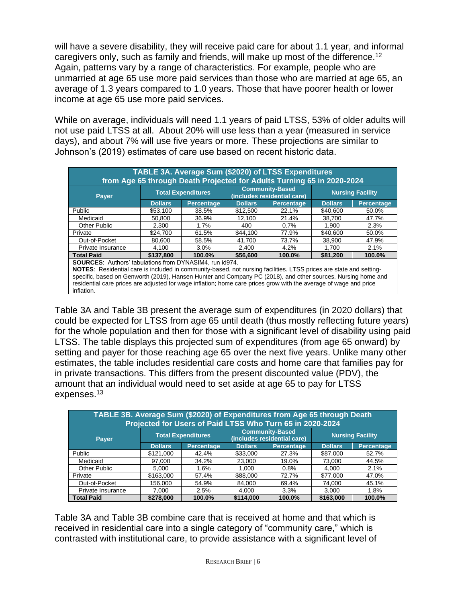will have a severe disability, they will receive paid care for about 1.1 year, and informal caregivers only, such as family and friends, will make up most of the difference.<sup>12</sup> Again, patterns vary by a range of characteristics. For example, people who are unmarried at age 65 use more paid services than those who are married at age 65, an average of 1.3 years compared to 1.0 years. Those that have poorer health or lower income at age 65 use more paid services.

While on average, individuals will need 1.1 years of paid LTSS, 53% of older adults will not use paid LTSS at all. About 20% will use less than a year (measured in service days), and about 7% will use five years or more. These projections are similar to Johnson's (2019) estimates of care use based on recent historic data.

| TABLE 3A. Average Sum (\$2020) of LTSS Expenditures<br>from Age 65 through Death Projected for Adults Turning 65 in 2020-2024                                                                                                                                                                                                                                                                                                           |                |                           |                |                                                       |                |                         |  |  |  |  |
|-----------------------------------------------------------------------------------------------------------------------------------------------------------------------------------------------------------------------------------------------------------------------------------------------------------------------------------------------------------------------------------------------------------------------------------------|----------------|---------------------------|----------------|-------------------------------------------------------|----------------|-------------------------|--|--|--|--|
| Payer                                                                                                                                                                                                                                                                                                                                                                                                                                   |                | <b>Total Expenditures</b> |                | <b>Community-Based</b><br>(includes residential care) |                | <b>Nursing Facility</b> |  |  |  |  |
|                                                                                                                                                                                                                                                                                                                                                                                                                                         | <b>Dollars</b> | <b>Percentage</b>         | <b>Dollars</b> | Percentage                                            | <b>Dollars</b> | <b>Percentage</b>       |  |  |  |  |
| Public                                                                                                                                                                                                                                                                                                                                                                                                                                  | \$53,100       | 38.5%                     | \$12,500       | 22.1%                                                 | \$40,600       | 50.0%                   |  |  |  |  |
| Medicaid                                                                                                                                                                                                                                                                                                                                                                                                                                | 50.800         | 36.9%                     | 12,100         | 21.4%                                                 | 38,700         | 47.7%                   |  |  |  |  |
| <b>Other Public</b>                                                                                                                                                                                                                                                                                                                                                                                                                     | 2.300          | 1.7%                      | 400            | 0.7%                                                  | 1.900          | 2.3%                    |  |  |  |  |
| Private                                                                                                                                                                                                                                                                                                                                                                                                                                 | \$24,700       | 61.5%                     | \$44,100       | 77.9%                                                 | \$40,600       | 50.0%                   |  |  |  |  |
| Out-of-Pocket                                                                                                                                                                                                                                                                                                                                                                                                                           | 80.600         | 58.5%                     | 41.700         | 73.7%                                                 | 38.900         | 47.9%                   |  |  |  |  |
| Private Insurance                                                                                                                                                                                                                                                                                                                                                                                                                       | 4.100          | 3.0%                      | 2.400          | 4.2%                                                  | 1.700          | 2.1%                    |  |  |  |  |
| <b>Total Paid</b>                                                                                                                                                                                                                                                                                                                                                                                                                       | \$137,800      | 100.0%                    | \$56,600       | 100.0%                                                | \$81,200       | 100.0%                  |  |  |  |  |
| <b>SOURCES:</b> Authors' tabulations from DYNASIM4, run id974.<br>NOTES: Residential care is included in community-based, not nursing facilities. LTSS prices are state and setting-<br>specific, based on Genworth (2019), Hansen Hunter and Company PC (2018), and other sources. Nursing home and<br>residential care prices are adjusted for wage inflation; home care prices grow with the average of wage and price<br>inflation. |                |                           |                |                                                       |                |                         |  |  |  |  |

Table 3A and Table 3B present the average sum of expenditures (in 2020 dollars) that could be expected for LTSS from age 65 until death (thus mostly reflecting future years) for the whole population and then for those with a significant level of disability using paid LTSS. The table displays this projected sum of expenditures (from age 65 onward) by setting and payer for those reaching age 65 over the next five years. Unlike many other estimates, the table includes residential care costs and home care that families pay for in private transactions. This differs from the present discounted value (PDV), the amount that an individual would need to set aside at age 65 to pay for LTSS expenses.<sup>13</sup>

| TABLE 3B. Average Sum (\$2020) of Expenditures from Age 65 through Death<br>Projected for Users of Paid LTSS Who Turn 65 in 2020-2024 |                |                           |                                                       |                         |                |                   |  |  |  |  |  |
|---------------------------------------------------------------------------------------------------------------------------------------|----------------|---------------------------|-------------------------------------------------------|-------------------------|----------------|-------------------|--|--|--|--|--|
| <b>Payer</b>                                                                                                                          |                | <b>Total Expenditures</b> | <b>Community-Based</b><br>(includes residential care) | <b>Nursing Facility</b> |                |                   |  |  |  |  |  |
|                                                                                                                                       | <b>Dollars</b> | <b>Percentage</b>         | <b>Dollars</b>                                        | <b>Percentage</b>       | <b>Dollars</b> | <b>Percentage</b> |  |  |  |  |  |
| Public                                                                                                                                | \$121,000      | 42.4%                     | \$33,000                                              | 27.3%                   | \$87,000       | 52.7%             |  |  |  |  |  |
| Medicaid                                                                                                                              | 97.000         | 34.2%                     | 23,000                                                | 19.0%                   | 73,000         | 44.5%             |  |  |  |  |  |
| <b>Other Public</b>                                                                                                                   | 5.000          | 1.6%                      | 1.000                                                 | 0.8%                    | 4.000          | 2.1%              |  |  |  |  |  |
| Private                                                                                                                               | \$163,000      | 57.4%                     | \$88,000                                              | 72.7%                   | \$77,000       | 47.0%             |  |  |  |  |  |
| Out-of-Pocket                                                                                                                         | 156.000        | 54.9%                     | 84.000                                                | 69.4%                   | 74,000         | 45.1%             |  |  |  |  |  |
| Private Insurance                                                                                                                     | 7,000          | 2.5%                      | 4.000                                                 | 3.3%                    | 3,000          | 1.8%              |  |  |  |  |  |
| <b>Total Paid</b>                                                                                                                     | \$278,000      | 100.0%                    | \$114,000                                             | 100.0%                  | \$163,000      | 100.0%            |  |  |  |  |  |

Table 3A and Table 3B combine care that is received at home and that which is received in residential care into a single category of "community care," which is contrasted with institutional care, to provide assistance with a significant level of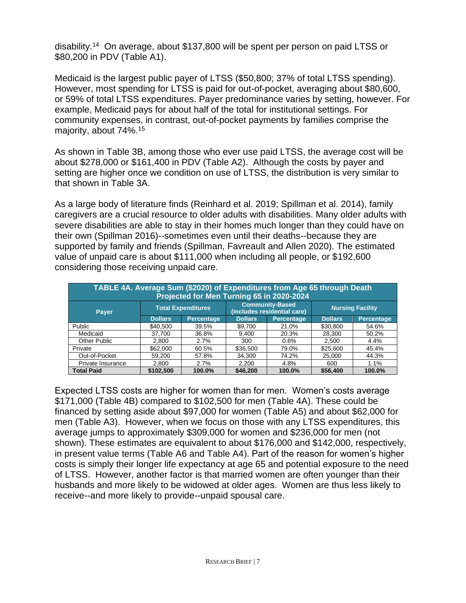disability.<sup>14</sup> On average, about \$137,800 will be spent per person on paid LTSS or \$80,200 in PDV (Table A1).

Medicaid is the largest public payer of LTSS (\$50,800; 37% of total LTSS spending). However, most spending for LTSS is paid for out-of-pocket, averaging about \$80,600, or 59% of total LTSS expenditures. Payer predominance varies by setting, however. For example, Medicaid pays for about half of the total for institutional settings. For community expenses, in contrast, out-of-pocket payments by families comprise the majority, about 74%.<sup>15</sup>

As shown in Table 3B, among those who ever use paid LTSS, the average cost will be about \$278,000 or \$161,400 in PDV (Table A2). Although the costs by payer and setting are higher once we condition on use of LTSS, the distribution is very similar to that shown in Table 3A.

As a large body of literature finds (Reinhard et al. 2019; Spillman et al. 2014), family caregivers are a crucial resource to older adults with disabilities. Many older adults with severe disabilities are able to stay in their homes much longer than they could have on their own (Spillman 2016)--sometimes even until their deaths--because they are supported by family and friends (Spillman, Favreault and Allen 2020). The estimated value of unpaid care is about \$111,000 when including all people, or \$192,600 considering those receiving unpaid care.

| TABLE 4A. Average Sum (\$2020) of Expenditures from Age 65 through Death<br>Projected for Men Turning 65 in 2020-2024 |                |                           |                                                       |                   |                         |                   |  |  |  |  |
|-----------------------------------------------------------------------------------------------------------------------|----------------|---------------------------|-------------------------------------------------------|-------------------|-------------------------|-------------------|--|--|--|--|
| <b>Payer</b>                                                                                                          |                | <b>Total Expenditures</b> | <b>Community-Based</b><br>(includes residential care) |                   | <b>Nursing Facility</b> |                   |  |  |  |  |
|                                                                                                                       | <b>Dollars</b> | <b>Percentage</b>         | <b>Dollars</b>                                        | <b>Percentage</b> | <b>Dollars</b>          | <b>Percentage</b> |  |  |  |  |
| Public                                                                                                                | \$40,500       | 39.5%                     | \$9,700                                               | 21.0%             | \$30,800                | 54.6%             |  |  |  |  |
| Medicaid                                                                                                              | 37,700         | 36.8%                     | 9.400                                                 | 20.3%             | 28.300                  | 50.2%             |  |  |  |  |
| Other Public                                                                                                          | 2,800          | 2.7%                      | 300                                                   | 0.6%              | 2,500                   | 4.4%              |  |  |  |  |
| Private                                                                                                               | \$62,000       | 60.5%                     | \$36,500                                              | 79.0%             | \$25,600                | 45.4%             |  |  |  |  |
| Out-of-Pocket                                                                                                         | 59.200         | 57.8%                     | 34.300                                                | 74.2%             | 25,000                  | 44.3%             |  |  |  |  |
| Private Insurance                                                                                                     | 2,800          | 2.7%                      | 2,200                                                 | 4.8%              | 600                     | 1.1%              |  |  |  |  |
| <b>Total Paid</b>                                                                                                     | \$102,500      | 100.0%                    | \$46,200                                              | 100.0%            | \$56,400                | 100.0%            |  |  |  |  |

Expected LTSS costs are higher for women than for men. Women's costs average \$171,000 (Table 4B) compared to \$102,500 for men (Table 4A). These could be financed by setting aside about \$97,000 for women (Table A5) and about \$62,000 for men (Table A3). However, when we focus on those with any LTSS expenditures, this average jumps to approximately \$309,000 for women and \$236,000 for men (not shown). These estimates are equivalent to about \$176,000 and \$142,000, respectively, in present value terms (Table A6 and Table A4). Part of the reason for women's higher costs is simply their longer life expectancy at age 65 and potential exposure to the need of LTSS. However, another factor is that married women are often younger than their husbands and more likely to be widowed at older ages. Women are thus less likely to receive--and more likely to provide--unpaid spousal care.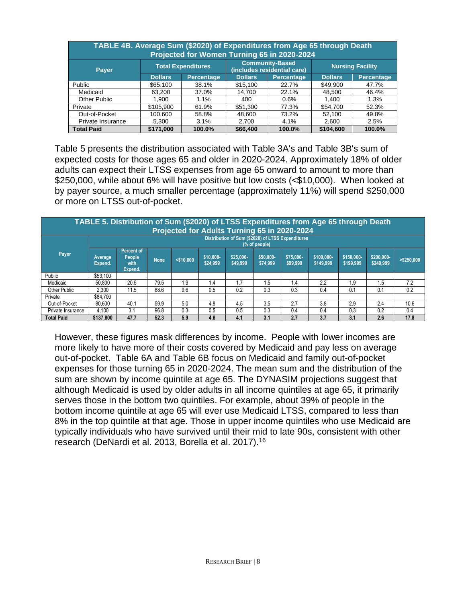| TABLE 4B. Average Sum (\$2020) of Expenditures from Age 65 through Death<br>Projected for Women Turning 65 in 2020-2024 |                |                           |                |                                                       |                         |                   |  |  |  |  |  |
|-------------------------------------------------------------------------------------------------------------------------|----------------|---------------------------|----------------|-------------------------------------------------------|-------------------------|-------------------|--|--|--|--|--|
| <b>Payer</b>                                                                                                            |                | <b>Total Expenditures</b> |                | <b>Community-Based</b><br>(includes residential care) | <b>Nursing Facility</b> |                   |  |  |  |  |  |
|                                                                                                                         | <b>Dollars</b> | Percentage                | <b>Dollars</b> | <b>Percentage</b>                                     | <b>Dollars</b>          | <b>Percentage</b> |  |  |  |  |  |
| Public                                                                                                                  | \$65,100       | 38.1%                     | \$15,100       | 22.7%                                                 | \$49,900                | 47.7%             |  |  |  |  |  |
| Medicaid                                                                                                                | 63.200         | 37.0%                     | 14.700         | 22.1%                                                 | 48.500                  | 46.4%             |  |  |  |  |  |
| Other Public                                                                                                            | 1,900          | 1.1%                      | 400            | 0.6%                                                  | 1,400                   | 1.3%              |  |  |  |  |  |
| Private                                                                                                                 | \$105,900      | 61.9%                     | \$51,300       | 77.3%                                                 | \$54,700                | 52.3%             |  |  |  |  |  |
| Out-of-Pocket                                                                                                           | 100.600        | 58.8%                     | 48.600         | 73.2%                                                 | 52,100                  | 49.8%             |  |  |  |  |  |
| Private Insurance                                                                                                       | 5,300          | 3.1%                      | 2,700          | 4.1%                                                  | 2,600                   | 2.5%              |  |  |  |  |  |
| <b>Total Paid</b>                                                                                                       | \$171,000      | 100.0%                    | \$66,400       | 100.0%                                                | \$104,600               | 100.0%            |  |  |  |  |  |

Table 5 presents the distribution associated with Table 3A's and Table 3B's sum of expected costs for those ages 65 and older in 2020-2024. Approximately 18% of older adults can expect their LTSS expenses from age 65 onward to amount to more than \$250,000, while about 6% will have positive but low costs (<\$10,000). When looked at by payer source, a much smaller percentage (approximately 11%) will spend \$250,000 or more on LTSS out-of-pocket.

| TABLE 5. Distribution of Sum (\$2020) of LTSS Expenditures from Age 65 through Death<br>Projected for Adults Turning 65 in 2020-2024 |                    |                                                                    |             |              |                       |                       |                       |                       |                         |                         |                         |               |
|--------------------------------------------------------------------------------------------------------------------------------------|--------------------|--------------------------------------------------------------------|-------------|--------------|-----------------------|-----------------------|-----------------------|-----------------------|-------------------------|-------------------------|-------------------------|---------------|
|                                                                                                                                      |                    | Distribution of Sum (\$2020) of LTSS Expenditures<br>(% of people) |             |              |                       |                       |                       |                       |                         |                         |                         |               |
| Payer                                                                                                                                | Average<br>Expend. | Percent of<br>People<br>with<br>Expend.                            | <b>None</b> | $<$ \$10,000 | \$10,000-<br>\$24,999 | \$25,000-<br>\$49,999 | \$50,000-<br>\$74.999 | \$75,000-<br>\$99,999 | \$100,000-<br>\$149.999 | \$150,000-<br>\$199,999 | \$200,000-<br>\$249,999 | $>$ \$250,000 |
| Public                                                                                                                               | \$53.100           |                                                                    |             |              |                       |                       |                       |                       |                         |                         |                         |               |
| Medicaid                                                                                                                             | 50.800             | 20.5                                                               | 79.5        | 1.9          | 1.4                   | 1.7                   | .5                    | 1.4                   | 2.2                     | 1.9                     | 1.5                     | 7.2           |
| Other Public                                                                                                                         | 2.300              | 11.5                                                               | 88.6        | 9.6          | 0.5                   | 0.2                   | 0.3                   | 0.3                   | 0.4                     | 0.1                     | 0.1                     | 0.2           |
| Private                                                                                                                              | \$84.700           |                                                                    |             |              |                       |                       |                       |                       |                         |                         |                         |               |
| Out-of-Pocket                                                                                                                        | 80.600             | 40.1                                                               | 59.9        | 5.0          | 4.8                   | 4.5                   | 3.5                   | 2.7                   | 3.8                     | 2.9                     | 2.4                     | 10.6          |
| Private Insurance                                                                                                                    | 4.100              | 3.1                                                                | 96.8        | 0.3          | 0.5                   | 0.5                   | 0.3                   | 0.4                   | 0.4                     | 0.3                     | 0.2                     | 0.4           |
| <b>Total Paid</b>                                                                                                                    | \$137,800          | 47.7                                                               | 52.3        | 5.9          | 4.8                   | 4.1                   | 3.1                   | 2.7                   | 3.7                     | 3.1                     | 2.6                     | 17.8          |

However, these figures mask differences by income. People with lower incomes are more likely to have more of their costs covered by Medicaid and pay less on average out-of-pocket. Table 6A and Table 6B focus on Medicaid and family out-of-pocket expenses for those turning 65 in 2020-2024. The mean sum and the distribution of the sum are shown by income quintile at age 65. The DYNASIM projections suggest that although Medicaid is used by older adults in all income quintiles at age 65, it primarily serves those in the bottom two quintiles. For example, about 39% of people in the bottom income quintile at age 65 will ever use Medicaid LTSS, compared to less than 8% in the top quintile at that age. Those in upper income quintiles who use Medicaid are typically individuals who have survived until their mid to late 90s, consistent with other research (DeNardi et al. 2013, Borella et al. 2017).16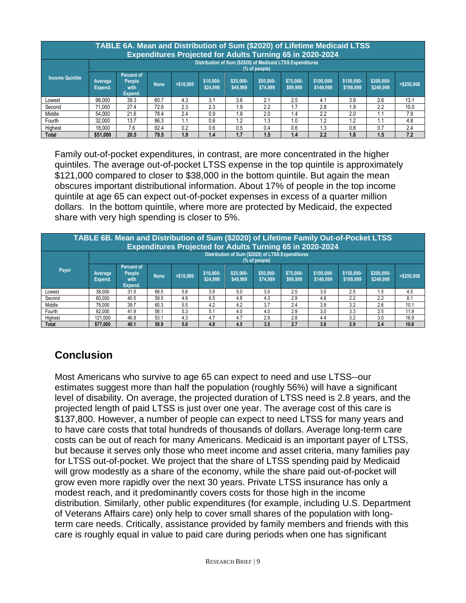|                        | TABLE 6A. Mean and Distribution of Sum (\$2020) of Lifetime Medicaid LTSS<br><b>Expenditures Projected for Adults Turning 65 in 2020-2024</b> |                                                                            |       |              |                       |                       |                       |                       |                         |                         |                         |               |
|------------------------|-----------------------------------------------------------------------------------------------------------------------------------------------|----------------------------------------------------------------------------|-------|--------------|-----------------------|-----------------------|-----------------------|-----------------------|-------------------------|-------------------------|-------------------------|---------------|
|                        | Distribution of Sum (\$2020) of Medicaid LTSS Expenditures<br>(% of people)                                                                   |                                                                            |       |              |                       |                       |                       |                       |                         |                         |                         |               |
| <b>Income Quintile</b> | Average<br>Expend.                                                                                                                            | Percent of<br>People<br>with<br>Expend.                                    | None. | $<$ \$10,000 | \$10,000-<br>\$24.999 | \$25,000-<br>\$49,999 | \$50,000-<br>\$74.999 | \$75,000-<br>\$99,999 | \$100,000-<br>\$149,999 | \$150,000-<br>\$199,999 | \$200,000-<br>\$249,999 | $>$ \$250,000 |
| Lowest                 | 98.000                                                                                                                                        | 39.3                                                                       | 60.7  | 4.3          | 3.1                   | 3.6                   | 2.1                   | 2.5                   | 4.1                     | 3.9                     | 2.6                     | 13.1          |
| Second                 | 71.000                                                                                                                                        | 27.4                                                                       | 72.6  | 2.3          | 2.3                   | 1.9                   | 2.2                   | 1.7                   | 2.8                     | 1.9                     | 2.2                     | 10.0          |
| Middle                 | 54.000                                                                                                                                        | 21.6                                                                       | 78.4  | 2.4          | 0.9                   | 1.8                   | 2.0                   | 1.4                   | 2.2                     | 2.0                     |                         | 7.9           |
| Fourth                 | 32.000                                                                                                                                        | 13.7                                                                       | 86.3  |              | 0.8                   | 1.2                   | .3                    | 1.0                   | 1.2                     | 1.2                     |                         | 4.8           |
| Highest                | 18.000                                                                                                                                        | 7.6<br>2.4<br>92.4<br>0.2<br>0.6<br>0.6<br>1.3<br>0.5<br>0.8<br>0.7<br>0.4 |       |              |                       |                       |                       |                       |                         |                         |                         |               |
| <b>Total</b>           | \$51,000                                                                                                                                      | 20.5                                                                       | 79.5  | 1.9          | 1.4                   | 1.7                   | 1.5                   | 1.4                   | 2.2                     | 1.8                     | 1.5                     | 7.2           |

Family out-of-pocket expenditures, in contrast, are more concentrated in the higher quintiles. The average out-of-pocket LTSS expense in the top quintile is approximately \$121,000 compared to closer to \$38,000 in the bottom quintile. But again the mean obscures important distributional information. About 17% of people in the top income quintile at age 65 can expect out-of-pocket expenses in excess of a quarter million dollars. In the bottom quintile, where more are protected by Medicaid, the expected share with very high spending is closer to 5%.

|                                                                  | TABLE 6B. Mean and Distribution of Sum (\$2020) of Lifetime Family Out-of-Pocket LTSS |                                         |       |              |                       |                       |                       |                       |                         |                         |                         |               |
|------------------------------------------------------------------|---------------------------------------------------------------------------------------|-----------------------------------------|-------|--------------|-----------------------|-----------------------|-----------------------|-----------------------|-------------------------|-------------------------|-------------------------|---------------|
| <b>Expenditures Projected for Adults Turning 65 in 2020-2024</b> |                                                                                       |                                         |       |              |                       |                       |                       |                       |                         |                         |                         |               |
|                                                                  | Distribution of Sum (\$2020) of LTSS Expenditures<br>(% of people)                    |                                         |       |              |                       |                       |                       |                       |                         |                         |                         |               |
| Payer                                                            | Average<br>Expend.                                                                    | Percent of<br>People<br>with<br>Expend. | None. | $<$ \$10.000 | \$10,000-<br>\$24,999 | \$25,000-<br>\$49,999 | \$50,000-<br>\$74.999 | \$75,000-<br>\$99,999 | \$100,000-<br>\$149,999 | \$150,000-<br>\$199,999 | \$200,000-<br>\$249.999 | $>$ \$250,000 |
| Lowest                                                           | 38,000                                                                                | 31.5                                    | 68.5  | 5.6          | 3.9                   | 5.0                   | 3.0                   | 2.5                   | 3.0                     | 2.5                     | 1.5                     | 4.5           |
| Second                                                           | 60.000                                                                                | 40.5                                    | 59.5  | 4.8          | 6.5                   | 4.8                   | 4.3                   | 2.9                   | 4.8                     | 2.2                     | 2.2                     | 8.1           |
| Middle                                                           | 78.000                                                                                | 39.7                                    | 60.3  | 5.5          | 4.2                   | 4.2                   | 3.7                   | 2.4                   | 3.9                     | 3.2                     | 2.6                     | 10.1          |
| Fourth                                                           | 82.000                                                                                | 41.9                                    | 58.1  | 5.3          | 5.1                   | 4.0                   | 4.0                   | 2.9                   | 3.0                     | 3.3                     | 2.5                     | 11.9          |
| Highest                                                          | 121.000                                                                               | 46.9                                    | 53.1  | 4.3          | 4.7                   | 4.7                   | 2.9                   | 2.8                   | 4.4                     | 3.2                     | 3.0                     | 16.9          |
| <b>Total</b>                                                     | \$77,000                                                                              | 40.1                                    | 59.9  | 5.0          | 4.8                   | 4.5                   | 3.5                   | 2.7                   | 3.8                     | 2.9                     | 2.4                     | 10.6          |

# **Conclusion**

Most Americans who survive to age 65 can expect to need and use LTSS--our estimates suggest more than half the population (roughly 56%) will have a significant level of disability. On average, the projected duration of LTSS need is 2.8 years, and the projected length of paid LTSS is just over one year. The average cost of this care is \$137,800. However, a number of people can expect to need LTSS for many years and to have care costs that total hundreds of thousands of dollars. Average long-term care costs can be out of reach for many Americans. Medicaid is an important payer of LTSS, but because it serves only those who meet income and asset criteria, many families pay for LTSS out-of-pocket. We project that the share of LTSS spending paid by Medicaid will grow modestly as a share of the economy, while the share paid out-of-pocket will grow even more rapidly over the next 30 years. Private LTSS insurance has only a modest reach, and it predominantly covers costs for those high in the income distribution. Similarly, other public expenditures (for example, including U.S. Department of Veterans Affairs care) only help to cover small shares of the population with longterm care needs. Critically, assistance provided by family members and friends with this care is roughly equal in value to paid care during periods when one has significant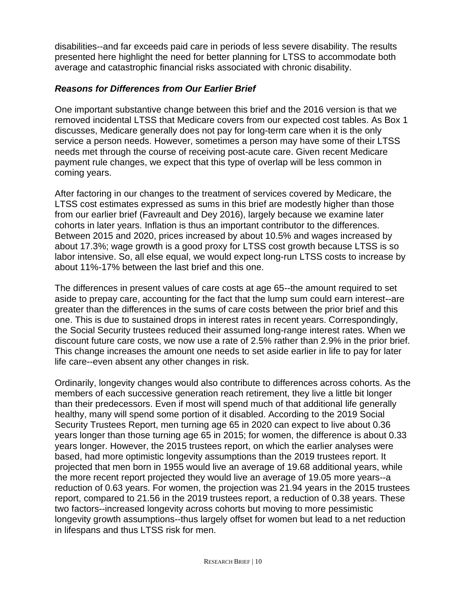disabilities--and far exceeds paid care in periods of less severe disability. The results presented here highlight the need for better planning for LTSS to accommodate both average and catastrophic financial risks associated with chronic disability.

## *Reasons for Differences from Our Earlier Brief*

One important substantive change between this brief and the 2016 version is that we removed incidental LTSS that Medicare covers from our expected cost tables. As Box 1 discusses, Medicare generally does not pay for long-term care when it is the only service a person needs. However, sometimes a person may have some of their LTSS needs met through the course of receiving post-acute care. Given recent Medicare payment rule changes, we expect that this type of overlap will be less common in coming years.

After factoring in our changes to the treatment of services covered by Medicare, the LTSS cost estimates expressed as sums in this brief are modestly higher than those from our earlier brief (Favreault and Dey 2016), largely because we examine later cohorts in later years. Inflation is thus an important contributor to the differences. Between 2015 and 2020, prices increased by about 10.5% and wages increased by about 17.3%; wage growth is a good proxy for LTSS cost growth because LTSS is so labor intensive. So, all else equal, we would expect long-run LTSS costs to increase by about 11%-17% between the last brief and this one.

The differences in present values of care costs at age 65--the amount required to set aside to prepay care, accounting for the fact that the lump sum could earn interest--are greater than the differences in the sums of care costs between the prior brief and this one. This is due to sustained drops in interest rates in recent years. Correspondingly, the Social Security trustees reduced their assumed long-range interest rates. When we discount future care costs, we now use a rate of 2.5% rather than 2.9% in the prior brief. This change increases the amount one needs to set aside earlier in life to pay for later life care--even absent any other changes in risk.

Ordinarily, longevity changes would also contribute to differences across cohorts. As the members of each successive generation reach retirement, they live a little bit longer than their predecessors. Even if most will spend much of that additional life generally healthy, many will spend some portion of it disabled. According to the 2019 Social Security Trustees Report, men turning age 65 in 2020 can expect to live about 0.36 years longer than those turning age 65 in 2015; for women, the difference is about 0.33 years longer. However, the 2015 trustees report, on which the earlier analyses were based, had more optimistic longevity assumptions than the 2019 trustees report. It projected that men born in 1955 would live an average of 19.68 additional years, while the more recent report projected they would live an average of 19.05 more years--a reduction of 0.63 years. For women, the projection was 21.94 years in the 2015 trustees report, compared to 21.56 in the 2019 trustees report, a reduction of 0.38 years. These two factors--increased longevity across cohorts but moving to more pessimistic longevity growth assumptions--thus largely offset for women but lead to a net reduction in lifespans and thus LTSS risk for men.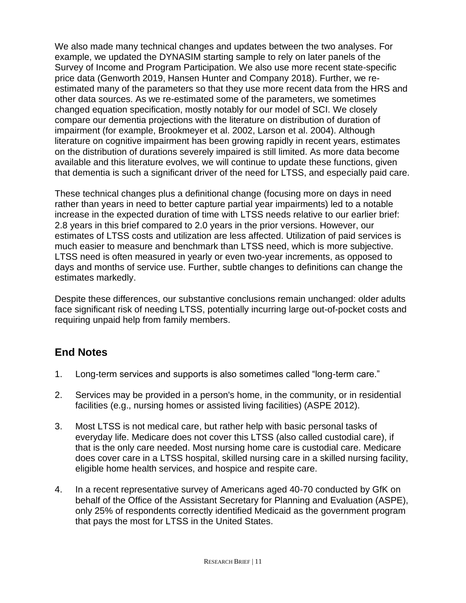We also made many technical changes and updates between the two analyses. For example, we updated the DYNASIM starting sample to rely on later panels of the Survey of Income and Program Participation. We also use more recent state-specific price data (Genworth 2019, Hansen Hunter and Company 2018). Further, we reestimated many of the parameters so that they use more recent data from the HRS and other data sources. As we re-estimated some of the parameters, we sometimes changed equation specification, mostly notably for our model of SCI. We closely compare our dementia projections with the literature on distribution of duration of impairment (for example, Brookmeyer et al. 2002, Larson et al. 2004). Although literature on cognitive impairment has been growing rapidly in recent years, estimates on the distribution of durations severely impaired is still limited. As more data become available and this literature evolves, we will continue to update these functions, given that dementia is such a significant driver of the need for LTSS, and especially paid care.

These technical changes plus a definitional change (focusing more on days in need rather than years in need to better capture partial year impairments) led to a notable increase in the expected duration of time with LTSS needs relative to our earlier brief: 2.8 years in this brief compared to 2.0 years in the prior versions. However, our estimates of LTSS costs and utilization are less affected. Utilization of paid services is much easier to measure and benchmark than LTSS need, which is more subjective. LTSS need is often measured in yearly or even two-year increments, as opposed to days and months of service use. Further, subtle changes to definitions can change the estimates markedly.

Despite these differences, our substantive conclusions remain unchanged: older adults face significant risk of needing LTSS, potentially incurring large out-of-pocket costs and requiring unpaid help from family members.

# **End Notes**

- 1. Long-term services and supports is also sometimes called "long-term care."
- 2. Services may be provided in a person's home, in the community, or in residential facilities (e.g., nursing homes or assisted living facilities) (ASPE 2012).
- 3. Most LTSS is not medical care, but rather help with basic personal tasks of everyday life. Medicare does not cover this LTSS (also called custodial care), if that is the only care needed. Most nursing home care is custodial care. Medicare does cover care in a LTSS hospital, skilled nursing care in a skilled nursing facility, eligible home health services, and hospice and respite care.
- 4. In a recent representative survey of Americans aged 40-70 conducted by GfK on behalf of the Office of the Assistant Secretary for Planning and Evaluation (ASPE), only 25% of respondents correctly identified Medicaid as the government program that pays the most for LTSS in the United States.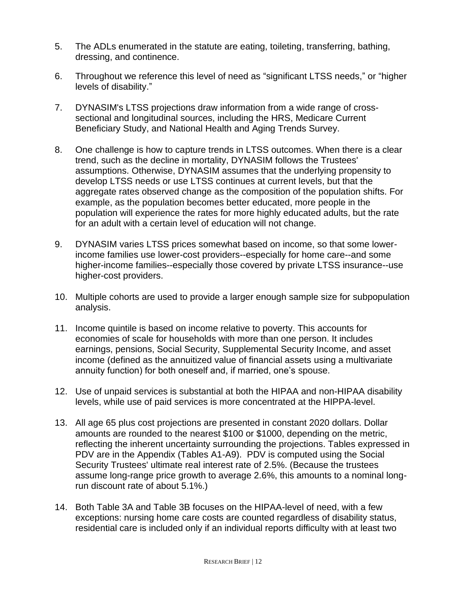- 5. The ADLs enumerated in the statute are eating, toileting, transferring, bathing, dressing, and continence.
- 6. Throughout we reference this level of need as "significant LTSS needs," or "higher levels of disability."
- 7. DYNASIM's LTSS projections draw information from a wide range of crosssectional and longitudinal sources, including the HRS, Medicare Current Beneficiary Study, and National Health and Aging Trends Survey.
- 8. One challenge is how to capture trends in LTSS outcomes. When there is a clear trend, such as the decline in mortality, DYNASIM follows the Trustees' assumptions. Otherwise, DYNASIM assumes that the underlying propensity to develop LTSS needs or use LTSS continues at current levels, but that the aggregate rates observed change as the composition of the population shifts. For example, as the population becomes better educated, more people in the population will experience the rates for more highly educated adults, but the rate for an adult with a certain level of education will not change.
- 9. DYNASIM varies LTSS prices somewhat based on income, so that some lowerincome families use lower-cost providers--especially for home care--and some higher-income families--especially those covered by private LTSS insurance--use higher-cost providers.
- 10. Multiple cohorts are used to provide a larger enough sample size for subpopulation analysis.
- 11. Income quintile is based on income relative to poverty. This accounts for economies of scale for households with more than one person. It includes earnings, pensions, Social Security, Supplemental Security Income, and asset income (defined as the annuitized value of financial assets using a multivariate annuity function) for both oneself and, if married, one's spouse.
- 12. Use of unpaid services is substantial at both the HIPAA and non-HIPAA disability levels, while use of paid services is more concentrated at the HIPPA-level.
- 13. All age 65 plus cost projections are presented in constant 2020 dollars. Dollar amounts are rounded to the nearest \$100 or \$1000, depending on the metric, reflecting the inherent uncertainty surrounding the projections. Tables expressed in PDV are in the Appendix (Tables A1-A9). PDV is computed using the Social Security Trustees' ultimate real interest rate of 2.5%. (Because the trustees assume long-range price growth to average 2.6%, this amounts to a nominal longrun discount rate of about 5.1%.)
- 14. Both Table 3A and Table 3B focuses on the HIPAA-level of need, with a few exceptions: nursing home care costs are counted regardless of disability status, residential care is included only if an individual reports difficulty with at least two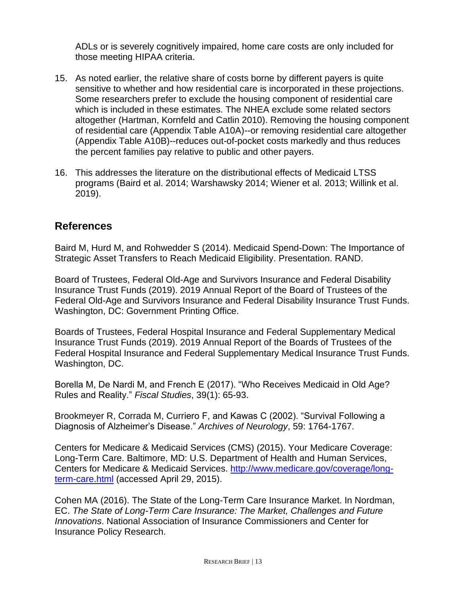ADLs or is severely cognitively impaired, home care costs are only included for those meeting HIPAA criteria.

- 15. As noted earlier, the relative share of costs borne by different payers is quite sensitive to whether and how residential care is incorporated in these projections. Some researchers prefer to exclude the housing component of residential care which is included in these estimates. The NHEA exclude some related sectors altogether (Hartman, Kornfeld and Catlin 2010). Removing the housing component of residential care (Appendix Table A10A)--or removing residential care altogether (Appendix Table A10B)--reduces out-of-pocket costs markedly and thus reduces the percent families pay relative to public and other payers.
- 16. This addresses the literature on the distributional effects of Medicaid LTSS programs (Baird et al. 2014; Warshawsky 2014; Wiener et al. 2013; Willink et al. 2019).

# **References**

Baird M, Hurd M, and Rohwedder S (2014). Medicaid Spend-Down: The Importance of Strategic Asset Transfers to Reach Medicaid Eligibility. Presentation. RAND.

Board of Trustees, Federal Old-Age and Survivors Insurance and Federal Disability Insurance Trust Funds (2019). 2019 Annual Report of the Board of Trustees of the Federal Old-Age and Survivors Insurance and Federal Disability Insurance Trust Funds. Washington, DC: Government Printing Office.

Boards of Trustees, Federal Hospital Insurance and Federal Supplementary Medical Insurance Trust Funds (2019). 2019 Annual Report of the Boards of Trustees of the Federal Hospital Insurance and Federal Supplementary Medical Insurance Trust Funds. Washington, DC.

Borella M, De Nardi M, and French E (2017). "Who Receives Medicaid in Old Age? Rules and Reality." *Fiscal Studies*, 39(1): 65-93.

Brookmeyer R, Corrada M, Curriero F, and Kawas C (2002). "Survival Following a Diagnosis of Alzheimer's Disease." *Archives of Neurology*, 59: 1764-1767.

Centers for Medicare & Medicaid Services (CMS) (2015). Your Medicare Coverage: Long-Term Care. Baltimore, MD: U.S. Department of Health and Human Services, Centers for Medicare & Medicaid Services. [http://www.medicare.gov/coverage/long](http://www.medicare.gov/coverage/long-term-care.html)[term-care.html](http://www.medicare.gov/coverage/long-term-care.html) (accessed April 29, 2015).

Cohen MA (2016). The State of the Long-Term Care Insurance Market. In Nordman, EC. *The State of Long-Term Care Insurance: The Market, Challenges and Future Innovations*. National Association of Insurance Commissioners and Center for Insurance Policy Research.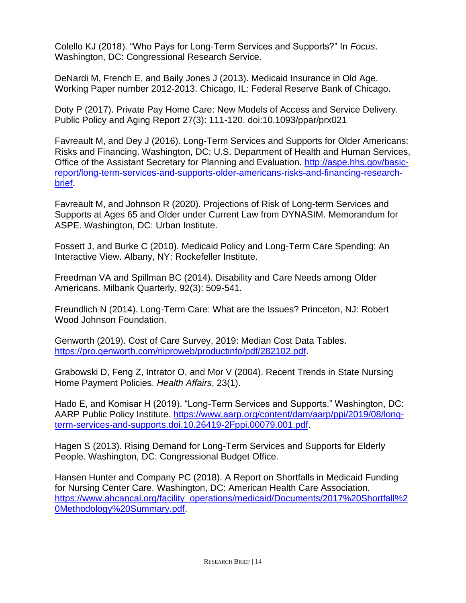Colello KJ (2018). "Who Pays for Long-Term Services and Supports?" In *Focus*. Washington, DC: Congressional Research Service.

DeNardi M, French E, and Baily Jones J (2013). Medicaid Insurance in Old Age. Working Paper number 2012-2013. Chicago, IL: Federal Reserve Bank of Chicago.

Doty P (2017). Private Pay Home Care: New Models of Access and Service Delivery. Public Policy and Aging Report 27(3): 111-120. doi:10.1093/ppar/prx021

Favreault M, and Dey J (2016). Long-Term Services and Supports for Older Americans: Risks and Financing. Washington, DC: U.S. Department of Health and Human Services, Office of the Assistant Secretary for Planning and Evaluation. [http://aspe.hhs.gov/basic](http://aspe.hhs.gov/basic-report/long-term-services-and-supports-older-americans-risks-and-financing-research-brief)[report/long-term-services-and-supports-older-americans-risks-and-financing-research](http://aspe.hhs.gov/basic-report/long-term-services-and-supports-older-americans-risks-and-financing-research-brief)[brief.](http://aspe.hhs.gov/basic-report/long-term-services-and-supports-older-americans-risks-and-financing-research-brief)

Favreault M, and Johnson R (2020). Projections of Risk of Long-term Services and Supports at Ages 65 and Older under Current Law from DYNASIM. Memorandum for ASPE. Washington, DC: Urban Institute.

Fossett J, and Burke C (2010). Medicaid Policy and Long-Term Care Spending: An Interactive View. Albany, NY: Rockefeller Institute.

Freedman VA and Spillman BC (2014). Disability and Care Needs among Older Americans. Milbank Quarterly, 92(3): 509-541.

Freundlich N (2014). Long-Term Care: What are the Issues? Princeton, NJ: Robert Wood Johnson Foundation.

Genworth (2019). Cost of Care Survey, 2019: Median Cost Data Tables. [https://pro.genworth.com/riiproweb/productinfo/pdf/282102.pdf.](https://pro.genworth.com/riiproweb/productinfo/pdf/282102.pdf)

Grabowski D, Feng Z, Intrator O, and Mor V (2004). Recent Trends in State Nursing Home Payment Policies. *Health Affairs*, 23(1).

Hado E, and Komisar H (2019). "Long-Term Services and Supports." Washington, DC: AARP Public Policy Institute. [https://www.aarp.org/content/dam/aarp/ppi/2019/08/long](https://www.aarp.org/content/dam/aarp/ppi/2019/08/long-term-services-and-supports.doi.10.26419-2Fppi.00079.001.pdf)[term-services-and-supports.doi.10.26419-2Fppi.00079.001.pdf.](https://www.aarp.org/content/dam/aarp/ppi/2019/08/long-term-services-and-supports.doi.10.26419-2Fppi.00079.001.pdf)

Hagen S (2013). Rising Demand for Long-Term Services and Supports for Elderly People. Washington, DC: Congressional Budget Office.

Hansen Hunter and Company PC (2018). A Report on Shortfalls in Medicaid Funding for Nursing Center Care. Washington, DC: American Health Care Association. [https://www.ahcancal.org/facility\\_operations/medicaid/Documents/2017%20Shortfall%2](https://www.ahcancal.org/facility_operations/medicaid/Documents/2017%20Shortfall%20Methodology%20Summary.pdf) [0Methodology%20Summary.pdf.](https://www.ahcancal.org/facility_operations/medicaid/Documents/2017%20Shortfall%20Methodology%20Summary.pdf)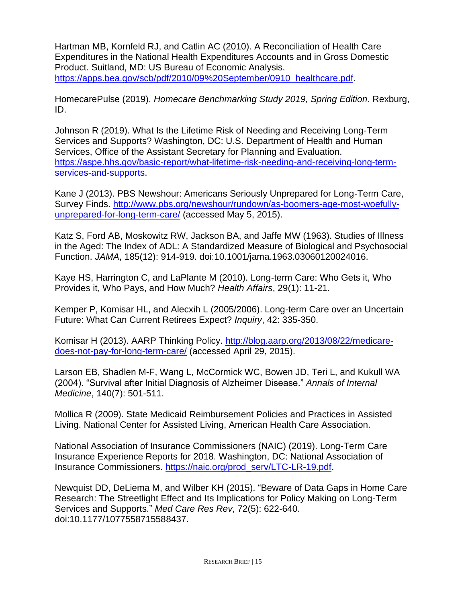Hartman MB, Kornfeld RJ, and Catlin AC (2010). A Reconciliation of Health Care Expenditures in the National Health Expenditures Accounts and in Gross Domestic Product. Suitland, MD: US Bureau of Economic Analysis. [https://apps.bea.gov/scb/pdf/2010/09%20September/0910\\_healthcare.pdf.](https://apps.bea.gov/scb/pdf/2010/09%20September/0910_healthcare.pdf)

HomecarePulse (2019). *Homecare Benchmarking Study 2019, Spring Edition*. Rexburg, ID.

Johnson R (2019). What Is the Lifetime Risk of Needing and Receiving Long-Term Services and Supports? Washington, DC: U.S. Department of Health and Human Services, Office of the Assistant Secretary for Planning and Evaluation. [https://aspe.hhs.gov/basic-report/what-lifetime-risk-needing-and-receiving-long-term](https://aspe.hhs.gov/basic-report/what-lifetime-risk-needing-and-receiving-long-term-services-and-supports)[services-and-supports.](https://aspe.hhs.gov/basic-report/what-lifetime-risk-needing-and-receiving-long-term-services-and-supports)

Kane J (2013). PBS Newshour: Americans Seriously Unprepared for Long-Term Care, Survey Finds. [http://www.pbs.org/newshour/rundown/as-boomers-age-most-woefully](http://www.pbs.org/newshour/rundown/as-boomers-age-most-woefully-unprepared-for-long-term-care/)[unprepared-for-long-term-care/](http://www.pbs.org/newshour/rundown/as-boomers-age-most-woefully-unprepared-for-long-term-care/) (accessed May 5, 2015).

Katz S, Ford AB, Moskowitz RW, Jackson BA, and Jaffe MW (1963). Studies of Illness in the Aged: The Index of ADL: A Standardized Measure of Biological and Psychosocial Function. *JAMA*, 185(12): 914-919. doi:10.1001/jama.1963.03060120024016.

Kaye HS, Harrington C, and LaPlante M (2010). Long-term Care: Who Gets it, Who Provides it, Who Pays, and How Much? *Health Affairs*, 29(1): 11-21.

Kemper P, Komisar HL, and Alecxih L (2005/2006). Long-term Care over an Uncertain Future: What Can Current Retirees Expect? *Inquiry*, 42: 335-350.

Komisar H (2013). AARP Thinking Policy. [http://blog.aarp.org/2013/08/22/medicare](http://blog.aarp.org/2013/08/22/medicare-does-not-pay-for-long-term-care/)[does-not-pay-for-long-term-care/](http://blog.aarp.org/2013/08/22/medicare-does-not-pay-for-long-term-care/) (accessed April 29, 2015).

Larson EB, Shadlen M-F, Wang L, McCormick WC, Bowen JD, Teri L, and Kukull WA (2004). "Survival after Initial Diagnosis of Alzheimer Disease." *Annals of Internal Medicine*, 140(7): 501-511.

Mollica R (2009). State Medicaid Reimbursement Policies and Practices in Assisted Living. National Center for Assisted Living, American Health Care Association.

National Association of Insurance Commissioners (NAIC) (2019). Long-Term Care Insurance Experience Reports for 2018. Washington, DC: National Association of Insurance Commissioners. [https://naic.org/prod\\_serv/LTC-LR-19.pdf.](https://naic.org/prod_serv/LTC-LR-19.pdf)

Newquist DD, DeLiema M, and Wilber KH (2015). "Beware of Data Gaps in Home Care Research: The Streetlight Effect and Its Implications for Policy Making on Long-Term Services and Supports." *Med Care Res Rev*, 72(5): 622-640. doi:10.1177/1077558715588437.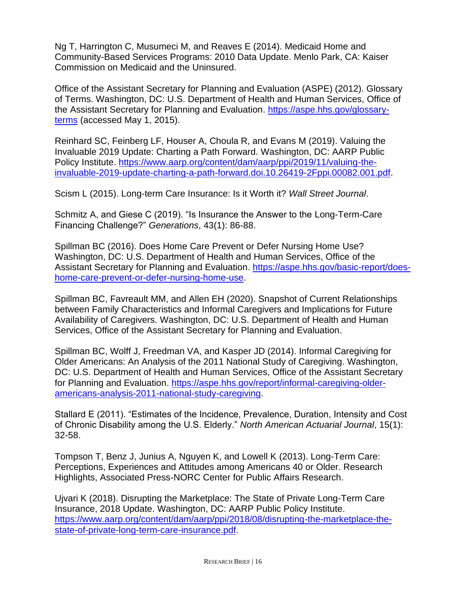Ng T, Harrington C, Musumeci M, and Reaves E (2014). Medicaid Home and Community-Based Services Programs: 2010 Data Update. Menlo Park, CA: Kaiser Commission on Medicaid and the Uninsured.

Office of the Assistant Secretary for Planning and Evaluation (ASPE) (2012). Glossary of Terms. Washington, DC: U.S. Department of Health and Human Services, Office of the Assistant Secretary for Planning and Evaluation. [https://aspe.hhs.gov/glossary](https://aspe.hhs.gov/glossary-terms)[terms](https://aspe.hhs.gov/glossary-terms) (accessed May 1, 2015).

Reinhard SC, Feinberg LF, Houser A, Choula R, and Evans M (2019). Valuing the Invaluable 2019 Update: Charting a Path Forward. Washington, DC: AARP Public Policy Institute. [https://www.aarp.org/content/dam/aarp/ppi/2019/11/valuing-the](https://www.aarp.org/content/dam/aarp/ppi/2019/11/valuing-the-invaluable-2019-update-charting-a-path-forward.doi.10.26419-2Fppi.00082.001.pdf)[invaluable-2019-update-charting-a-path-forward.doi.10.26419-2Fppi.00082.001.pdf.](https://www.aarp.org/content/dam/aarp/ppi/2019/11/valuing-the-invaluable-2019-update-charting-a-path-forward.doi.10.26419-2Fppi.00082.001.pdf)

Scism L (2015). Long-term Care Insurance: Is it Worth it? *Wall Street Journal*.

Schmitz A, and Giese C (2019). "Is Insurance the Answer to the Long-Term-Care Financing Challenge?" *Generations*, 43(1): 86-88.

Spillman BC (2016). Does Home Care Prevent or Defer Nursing Home Use? Washington, DC: U.S. Department of Health and Human Services, Office of the Assistant Secretary for Planning and Evaluation. [https://aspe.hhs.gov/basic-report/does](https://aspe.hhs.gov/basic-report/does-home-care-prevent-or-defer-nursing-home-use)[home-care-prevent-or-defer-nursing-home-use.](https://aspe.hhs.gov/basic-report/does-home-care-prevent-or-defer-nursing-home-use)

Spillman BC, Favreault MM, and Allen EH (2020). Snapshot of Current Relationships between Family Characteristics and Informal Caregivers and Implications for Future Availability of Caregivers. Washington, DC: U.S. Department of Health and Human Services, Office of the Assistant Secretary for Planning and Evaluation.

Spillman BC, Wolff J, Freedman VA, and Kasper JD (2014). Informal Caregiving for Older Americans: An Analysis of the 2011 National Study of Caregiving. Washington, DC: U.S. Department of Health and Human Services, Office of the Assistant Secretary for Planning and Evaluation. [https://aspe.hhs.gov/report/informal-caregiving-older](https://aspe.hhs.gov/report/informal-caregiving-older-americans-analysis-2011-national-study-caregiving)[americans-analysis-2011-national-study-caregiving.](https://aspe.hhs.gov/report/informal-caregiving-older-americans-analysis-2011-national-study-caregiving)

Stallard E (2011). "Estimates of the Incidence, Prevalence, Duration, Intensity and Cost of Chronic Disability among the U.S. Elderly." *North American Actuarial Journal*, 15(1): 32-58.

Tompson T, Benz J, Junius A, Nguyen K, and Lowell K (2013). Long-Term Care: Perceptions, Experiences and Attitudes among Americans 40 or Older. Research Highlights, Associated Press-NORC Center for Public Affairs Research.

Ujvari K (2018). Disrupting the Marketplace: The State of Private Long-Term Care Insurance, 2018 Update. Washington, DC: AARP Public Policy Institute. [https://www.aarp.org/content/dam/aarp/ppi/2018/08/disrupting-the-marketplace-the](https://www.aarp.org/content/dam/aarp/ppi/2018/08/disrupting-the-marketplace-the-state-of-private-long-term-care-insurance.pdf)[state-of-private-long-term-care-insurance.pdf.](https://www.aarp.org/content/dam/aarp/ppi/2018/08/disrupting-the-marketplace-the-state-of-private-long-term-care-insurance.pdf)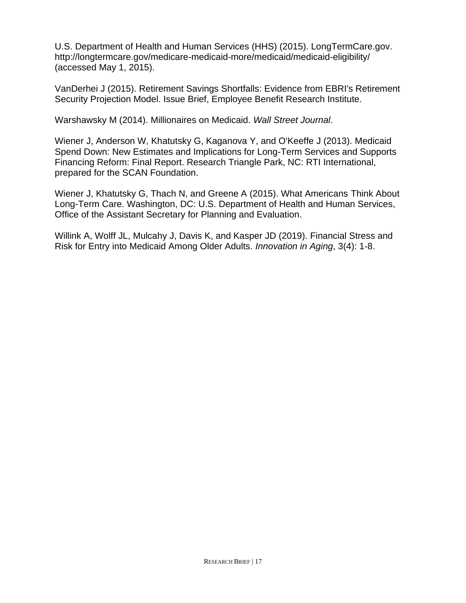U.S. Department of Health and Human Services (HHS) (2015). LongTermCare.gov. http://longtermcare.gov/medicare-medicaid-more/medicaid/medicaid-eligibility/ (accessed May 1, 2015).

VanDerhei J (2015). Retirement Savings Shortfalls: Evidence from EBRI's Retirement Security Projection Model. Issue Brief, Employee Benefit Research Institute.

Warshawsky M (2014). Millionaires on Medicaid. *Wall Street Journal*.

Wiener J, Anderson W, Khatutsky G, Kaganova Y, and O'Keeffe J (2013). Medicaid Spend Down: New Estimates and Implications for Long-Term Services and Supports Financing Reform: Final Report. Research Triangle Park, NC: RTI International, prepared for the SCAN Foundation.

Wiener J, Khatutsky G, Thach N, and Greene A (2015). What Americans Think About Long-Term Care. Washington, DC: U.S. Department of Health and Human Services, Office of the Assistant Secretary for Planning and Evaluation.

Willink A, Wolff JL, Mulcahy J, Davis K, and Kasper JD (2019). Financial Stress and Risk for Entry into Medicaid Among Older Adults. *Innovation in Aging*, 3(4): 1-8.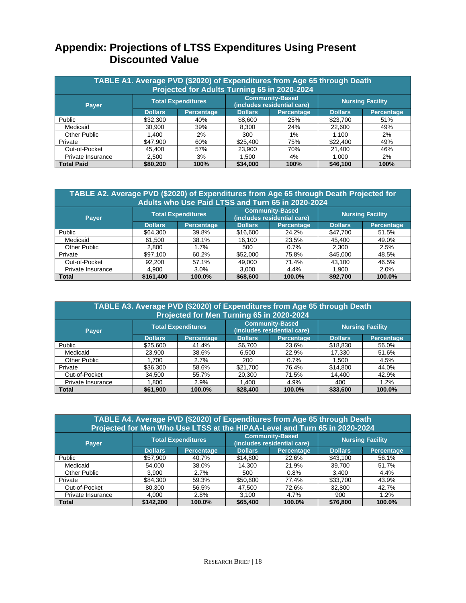# **Appendix: Projections of LTSS Expenditures Using Present Discounted Value**

| TABLE A1. Average PVD (\$2020) of Expenditures from Age 65 through Death<br>Projected for Adults Turning 65 in 2020-2024 |                |                           |                                                       |                   |                         |            |  |  |  |  |
|--------------------------------------------------------------------------------------------------------------------------|----------------|---------------------------|-------------------------------------------------------|-------------------|-------------------------|------------|--|--|--|--|
| Payer                                                                                                                    |                | <b>Total Expenditures</b> | <b>Community-Based</b><br>(includes residential care) |                   | <b>Nursing Facility</b> |            |  |  |  |  |
|                                                                                                                          | <b>Dollars</b> | <b>Percentage</b>         | <b>Dollars</b>                                        | <b>Percentage</b> | <b>Dollars</b>          | Percentage |  |  |  |  |
| Public                                                                                                                   | \$32,300       | 40%                       | \$8.600                                               | 25%               | \$23,700                | 51%        |  |  |  |  |
| Medicaid                                                                                                                 | 30.900         | 39%                       | 8,300                                                 | 24%               | 22,600                  | 49%        |  |  |  |  |
| Other Public                                                                                                             | 1.400          | 2%                        | 300                                                   | 1%                | 1.100                   | 2%         |  |  |  |  |
| Private                                                                                                                  | \$47,900       | 60%                       | \$25,400                                              | 75%               | \$22,400                | 49%        |  |  |  |  |
| Out-of-Pocket                                                                                                            | 45.400         | 57%                       | 23,900                                                | 70%               | 21,400                  | 46%        |  |  |  |  |
| Private Insurance                                                                                                        | 2,500          | 3%                        | 1.500                                                 | 4%                | 1.000                   | 2%         |  |  |  |  |
| <b>Total Paid</b>                                                                                                        | \$80,200       | 100%                      | \$34,000                                              | 100%              | \$46,100                | 100%       |  |  |  |  |

| TABLE A2. Average PVD (\$2020) of Expenditures from Age 65 through Death Projected for<br>Adults who Use Paid LTSS and Turn 65 in 2020-2024 |                |                           |                                                       |            |                |                         |  |  |  |  |  |
|---------------------------------------------------------------------------------------------------------------------------------------------|----------------|---------------------------|-------------------------------------------------------|------------|----------------|-------------------------|--|--|--|--|--|
| Payer                                                                                                                                       |                | <b>Total Expenditures</b> | <b>Community-Based</b><br>(includes residential care) |            |                | <b>Nursing Facility</b> |  |  |  |  |  |
|                                                                                                                                             | <b>Dollars</b> | <b>Percentage</b>         | <b>Dollars</b>                                        | Percentage | <b>Dollars</b> | <b>Percentage</b>       |  |  |  |  |  |
| Public                                                                                                                                      | \$64,300       | 39.8%                     | \$16,600                                              | 24.2%      | \$47,700       | 51.5%                   |  |  |  |  |  |
| Medicaid                                                                                                                                    | 61.500         | 38.1%                     | 16.100                                                | 23.5%      | 45.400         | 49.0%                   |  |  |  |  |  |
| Other Public                                                                                                                                | 2,800          | 1.7%                      | 500                                                   | 0.7%       | 2,300          | 2.5%                    |  |  |  |  |  |
| Private                                                                                                                                     | \$97.100       | 60.2%                     | \$52,000                                              | 75.8%      | \$45,000       | 48.5%                   |  |  |  |  |  |
| Out-of-Pocket                                                                                                                               | 92.200         | 57.1%                     | 49.000                                                | 71.4%      | 43.100         | 46.5%                   |  |  |  |  |  |
| Private Insurance                                                                                                                           | 4,900          | 3.0%                      | 3.000                                                 | 4.4%       | 1,900          | 2.0%                    |  |  |  |  |  |
| <b>Total</b>                                                                                                                                | \$161,400      | 100.0%                    | \$68,600                                              | 100.0%     | \$92.700       | 100.0%                  |  |  |  |  |  |

| TABLE A3. Average PVD (\$2020) of Expenditures from Age 65 through Death<br>Projected for Men Turning 65 in 2020-2024 |                |                           |                                                       |            |                         |                   |  |  |  |  |
|-----------------------------------------------------------------------------------------------------------------------|----------------|---------------------------|-------------------------------------------------------|------------|-------------------------|-------------------|--|--|--|--|
| <b>Payer</b>                                                                                                          |                | <b>Total Expenditures</b> | <b>Community-Based</b><br>(includes residential care) |            | <b>Nursing Facility</b> |                   |  |  |  |  |
|                                                                                                                       | <b>Dollars</b> | <b>Percentage</b>         | <b>Dollars</b>                                        | Percentage | <b>Dollars</b>          | <b>Percentage</b> |  |  |  |  |
| Public                                                                                                                | \$25,600       | 41.4%                     | \$6,700                                               | 23.6%      | \$18,830                | 56.0%             |  |  |  |  |
| Medicaid                                                                                                              | 23.900         | 38.6%                     | 6.500                                                 | 22.9%      | 17.330                  | 51.6%             |  |  |  |  |
| Other Public                                                                                                          | 1.700          | 2.7%                      | 200                                                   | 0.7%       | 1.500                   | 4.5%              |  |  |  |  |
| Private                                                                                                               | \$36,300       | 58.6%                     | \$21,700                                              | 76.4%      | \$14,800                | 44.0%             |  |  |  |  |
| Out-of-Pocket                                                                                                         | 34.500         | 55.7%                     | 20,300                                                | 71.5%      | 14.400                  | 42.9%             |  |  |  |  |
| Private Insurance                                                                                                     | 1.800          | 2.9%                      | 1.400                                                 | 4.9%       | 400                     | 1.2%              |  |  |  |  |
| <b>Total</b>                                                                                                          | \$61,900       | 100.0%                    | \$28,400                                              | 100.0%     | \$33,600                | 100.0%            |  |  |  |  |

| TABLE A4. Average PVD (\$2020) of Expenditures from Age 65 through Death<br>Projected for Men Who Use LTSS at the HIPAA-Level and Turn 65 in 2020-2024 |                                                                                    |                   |                |                   |                         |            |  |
|--------------------------------------------------------------------------------------------------------------------------------------------------------|------------------------------------------------------------------------------------|-------------------|----------------|-------------------|-------------------------|------------|--|
| Payer                                                                                                                                                  | <b>Community-Based</b><br><b>Total Expenditures</b><br>(includes residential care) |                   |                |                   | <b>Nursing Facility</b> |            |  |
|                                                                                                                                                        | <b>Dollars</b>                                                                     | <b>Percentage</b> | <b>Dollars</b> | <b>Percentage</b> | <b>Dollars</b>          | Percentage |  |
| Public                                                                                                                                                 | \$57,900                                                                           | 40.7%             | \$14,800       | 22.6%             | \$43,100                | 56.1%      |  |
| Medicaid                                                                                                                                               | 54.000                                                                             | 38.0%             | 14.300         | 21.9%             | 39.700                  | 51.7%      |  |
| <b>Other Public</b>                                                                                                                                    | 3.900                                                                              | 2.7%              | 500            | 0.8%              | 3.400                   | 4.4%       |  |
| Private                                                                                                                                                | \$84,300                                                                           | 59.3%             | \$50,600       | 77.4%             | \$33,700                | 43.9%      |  |
| Out-of-Pocket                                                                                                                                          | 80.300                                                                             | 56.5%             | 47.500         | 72.6%             | 32,800                  | 42.7%      |  |
| Private Insurance                                                                                                                                      | 4.000                                                                              | 2.8%              | 3.100          | 4.7%              | 900                     | 1.2%       |  |
| <b>Total</b>                                                                                                                                           | \$142,200                                                                          | 100.0%            | \$65,400       | 100.0%            | \$76,800                | 100.0%     |  |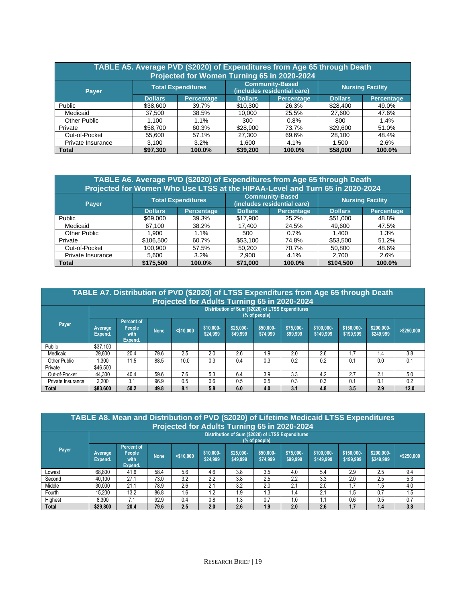| TABLE A5. Average PVD (\$2020) of Expenditures from Age 65 through Death<br>Projected for Women Turning 65 in 2020-2024 |                |                           |                |                                                       |                         |                   |  |
|-------------------------------------------------------------------------------------------------------------------------|----------------|---------------------------|----------------|-------------------------------------------------------|-------------------------|-------------------|--|
| Payer                                                                                                                   |                | <b>Total Expenditures</b> |                | <b>Community-Based</b><br>(includes residential care) | <b>Nursing Facility</b> |                   |  |
|                                                                                                                         | <b>Dollars</b> | <b>Percentage</b>         | <b>Dollars</b> | <b>Percentage</b>                                     | <b>Dollars</b>          | <b>Percentage</b> |  |
| Public                                                                                                                  | \$38,600       | 39.7%                     | \$10,300       | 26.3%                                                 | \$28,400                | 49.0%             |  |
| Medicaid                                                                                                                | 37.500         | 38.5%                     | 10.000         | 25.5%                                                 | 27,600                  | 47.6%             |  |
| Other Public                                                                                                            | 1.100          | 1.1%                      | 300            | 0.8%                                                  | 800                     | 1.4%              |  |
| Private                                                                                                                 | \$58,700       | 60.3%                     | \$28,900       | 73.7%                                                 | \$29,600                | 51.0%             |  |
| Out-of-Pocket                                                                                                           | 55,600         | 57.1%                     | 27,300         | 69.6%                                                 | 28,100                  | 48.4%             |  |
| Private Insurance                                                                                                       | 3,100          | 3.2%                      | 1.600          | 4.1%                                                  | 1,500                   | 2.6%              |  |
| <b>Total</b>                                                                                                            | \$97.300       | 100.0%                    | \$39,200       | 100.0%                                                | \$58,000                | 100.0%            |  |

| TABLE A6. Average PVD (\$2020) of Expenditures from Age 65 through Death<br>Projected for Women Who Use LTSS at the HIPAA-Level and Turn 65 in 2020-2024 |                |                           |                |                                                       |                         |                   |  |
|----------------------------------------------------------------------------------------------------------------------------------------------------------|----------------|---------------------------|----------------|-------------------------------------------------------|-------------------------|-------------------|--|
| <b>Payer</b>                                                                                                                                             |                | <b>Total Expenditures</b> |                | <b>Community-Based</b><br>(includes residential care) | <b>Nursing Facility</b> |                   |  |
|                                                                                                                                                          | <b>Dollars</b> | <b>Percentage</b>         | <b>Dollars</b> | Percentage                                            | <b>Dollars</b>          | <b>Percentage</b> |  |
| Public                                                                                                                                                   | \$69,000       | 39.3%                     | \$17.900       | 25.2%                                                 | \$51,000                | 48.8%             |  |
| Medicaid                                                                                                                                                 | 67.100         | 38.2%                     | 17.400         | 24.5%                                                 | 49.600                  | 47.5%             |  |
| Other Public                                                                                                                                             | 1.900          | 1.1%                      | 500            | 0.7%                                                  | 1,400                   | 1.3%              |  |
| Private                                                                                                                                                  | \$106.500      | 60.7%                     | \$53,100       | 74.8%                                                 | \$53,500                | 51.2%             |  |
| Out-of-Pocket                                                                                                                                            | 100.900        | 57.5%                     | 50.200         | 70.7%                                                 | 50,800                  | 48.6%             |  |
| Private Insurance                                                                                                                                        | 5,600          | 3.2%                      | 2.900          | 4.1%                                                  | 2,700                   | 2.6%              |  |
| <b>Total</b>                                                                                                                                             | \$175,500      | 100.0%                    | \$71.000       | 100.0%                                                | \$104.500               | 100.0%            |  |

|                   |                    | TABLE A7. Distribution of PVD (\$2020) of LTSS Expenditures from Age 65 through Death |             |              |                       | Projected for Adults Turning 65 in 2020-2024      |                       |                       |                         |                         |                         |             |
|-------------------|--------------------|---------------------------------------------------------------------------------------|-------------|--------------|-----------------------|---------------------------------------------------|-----------------------|-----------------------|-------------------------|-------------------------|-------------------------|-------------|
|                   |                    |                                                                                       |             |              |                       | Distribution of Sum (\$2020) of LTSS Expenditures | (% of people)         |                       |                         |                         |                         |             |
| Payer             | Average<br>Expend. | <b>Percent of</b><br>People<br>with<br>Expend.                                        | <b>None</b> | $<$ \$10.000 | \$10,000-<br>\$24,999 | \$25,000-<br>\$49,999                             | \$50,000-<br>\$74.999 | \$75,000-<br>\$99,999 | \$100,000-<br>\$149,999 | \$150,000-<br>\$199,999 | \$200,000-<br>\$249,999 | > \$250,000 |
| Public            | \$37.100           |                                                                                       |             |              |                       |                                                   |                       |                       |                         |                         |                         |             |
| Medicaid          | 29.800             | 20.4                                                                                  | 79.6        | 2.5          | 2.0                   | 2.6                                               | 1.9                   | 2.0                   | 2.6                     | 1.7                     | 1.4                     | 3.8         |
| Other Public      | 1.300              | 11.5                                                                                  | 88.5        | 10.0         | 0.3                   | 0.4                                               | 0.3                   | 0.2                   | 0.2                     | 0.1                     | 0.0                     | 0.1         |
| Private           | \$46,500           |                                                                                       |             |              |                       |                                                   |                       |                       |                         |                         |                         |             |
| Out-of-Pocket     | 44.300             | 40.4                                                                                  | 59.6        | 7.6          | 5.3                   | 6.4                                               | 3.9                   | 3.3                   | 4.2                     | 2.7                     | 2.1                     | 5.0         |
| Private Insurance | 2.200              | 3.1                                                                                   | 96.9        | 0.5          | 0.6                   | 0.5                                               | 0.5                   | 0.3                   | 0.3                     | 0.1                     | 0.1                     | 0.2         |
| <b>Total</b>      | \$83,600           | 50.2                                                                                  | 49.8        | 8.1          | 5.8                   | 6.0                                               | 4.0                   | 3.1                   | 4.8                     | 3.5                     | 2.9                     | 12.0        |

|         | TABLE A8. Mean and Distribution of PVD (\$2020) of Lifetime Medicaid LTSS Expenditures<br>Projected for Adults Turning 65 in 2020-2024 |                                                |             |              |                       |                                                   |                       |                       |                         |                         |                         |             |
|---------|----------------------------------------------------------------------------------------------------------------------------------------|------------------------------------------------|-------------|--------------|-----------------------|---------------------------------------------------|-----------------------|-----------------------|-------------------------|-------------------------|-------------------------|-------------|
|         |                                                                                                                                        |                                                |             |              |                       | Distribution of Sum (\$2020) of LTSS Expenditures | (% of people)         |                       |                         |                         |                         |             |
| Payer   | Average<br>Expend.                                                                                                                     | <b>Percent of</b><br>People<br>with<br>Expend. | <b>None</b> | $<$ \$10.000 | \$10,000-<br>\$24,999 | \$25,000-<br>\$49,999                             | \$50,000-<br>\$74.999 | \$75,000-<br>\$99,999 | \$100,000-<br>\$149,999 | \$150,000-<br>\$199,999 | \$200,000-<br>\$249,999 | > \$250,000 |
| Lowest  | 68.800                                                                                                                                 | 41.6                                           | 58.4        | 5.6          | 4.6                   | 3.8                                               | 3.5                   | 4.0                   | 5.4                     | 2.9                     | 2.5                     | 9.4         |
| Second  | 40.100                                                                                                                                 | 27.1                                           | 73.0        | 3.2          | 2.2                   | 3.8                                               | 2.5                   | 2.2                   | 3.3                     | 2.0                     | 2.5                     | 5.3         |
| Middle  | 30.000                                                                                                                                 | 21.1                                           | 78.9        | 2.6          | 2.1                   | 3.2                                               | 2.0                   | 2.1                   | 2.0                     | 1.7                     | 1.5                     | 4.0         |
| Fourth  | 15.200                                                                                                                                 | 13.2                                           | 86.8        | 1.6          | 1.2                   | 1.9                                               | 1.3                   | 1.4                   | 2.1                     | 1.5                     | 0.7                     | 1.5         |
| Highest | 8.300                                                                                                                                  | 7.1                                            | 92.9        | 0.4          | 0.8                   | 1.3                                               | 0.7                   | 1.0                   | ۱.1                     | 0.6                     | 0.5                     | 0.7         |
| Total   | \$29,800                                                                                                                               | 20.4                                           | 79.6        | 2.5          | 2.0                   | 2.6                                               | 1.9                   | 2.0                   | 2.6                     | 1.7                     | 1.4                     | 3.8         |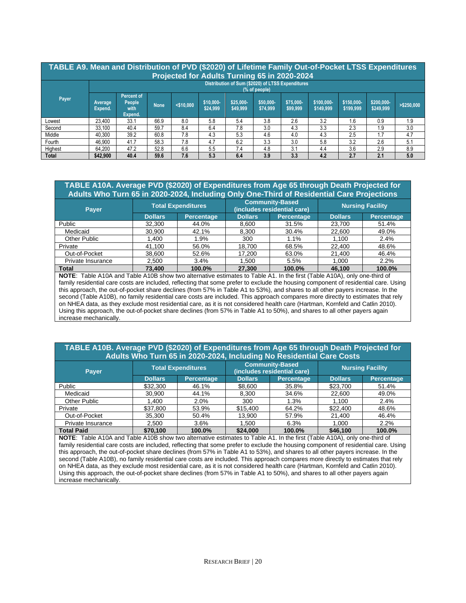| TABLE A9. Mean and Distribution of PVD (\$2020) of Lifetime Family Out-of-Pocket LTSS Expenditures<br>Projected for Adults Turning 65 in 2020-2024 |                    |                                                |      |              |                       |                                                   |                       |                       |                         |                         |                         |               |
|----------------------------------------------------------------------------------------------------------------------------------------------------|--------------------|------------------------------------------------|------|--------------|-----------------------|---------------------------------------------------|-----------------------|-----------------------|-------------------------|-------------------------|-------------------------|---------------|
|                                                                                                                                                    |                    |                                                |      |              |                       | Distribution of Sum (\$2020) of LTSS Expenditures | (% of people)         |                       |                         |                         |                         |               |
| Payer                                                                                                                                              | Average<br>Expend. | <b>Percent of</b><br>People<br>with<br>Expend. | None | $<$ \$10.000 | \$10,000-<br>\$24.999 | \$25,000-<br>\$49,999                             | \$50,000-<br>\$74.999 | \$75,000-<br>\$99,999 | \$100,000-<br>\$149,999 | \$150,000-<br>\$199,999 | \$200,000-<br>\$249.999 | $>$ \$250,000 |
| Lowest                                                                                                                                             | 23.400             | 33.1                                           | 66.9 | 8.0          | 5.8                   | 5.4                                               | 3.8                   | 2.6                   | 3.2                     | 1.6                     | 0.9                     | 1.9           |
| Second                                                                                                                                             | 33.100             | 40.4                                           | 59.7 | 8.4          | 6.4                   | 7.8                                               | 3.0                   | 4.3                   | 3.3                     | 2.3                     | 1.9                     | 3.0           |
| Middle                                                                                                                                             | 40.300             | 39.2                                           | 60.8 | 7.8          | 4.3                   | 5.3                                               | 4.6                   | 4.0                   | 4.3                     | 2.5                     | 1.7                     | 4.7           |
| Fourth                                                                                                                                             | 46.900             | 41.7                                           | 58.3 | 7.8          | 4.7                   | 6.2                                               | 3.3                   | 3.0                   | 5.8                     | 3.2                     | 2.6                     | 5.1           |
| Highest                                                                                                                                            | 64.200             | 47.2                                           | 52.8 | 6.6          | 5.5                   | 7.4                                               | 4.8                   | 3.1                   | 4.4                     | 3.6                     | 2.9                     | 8.9           |
| <b>Total</b>                                                                                                                                       | \$42,900           | 40.4                                           | 59.6 | 7.6          | 5.3                   | 6.4                                               | 3.9                   | 3.3                   | 4.2                     | 2.7                     | 2.1                     | 5.0           |

#### **TABLE A10A. Average PVD (\$2020) of Expenditures from Age 65 through Death Projected for Adults Who Turn 65 in 2020-2024, Including Only One-Third of Residential Care Projections**

| Payer.            |                | <b>Total Expenditures</b> |                | <b>Community-Based</b><br>(includes residential care) | <b>Nursing Facility</b> |                   |  |
|-------------------|----------------|---------------------------|----------------|-------------------------------------------------------|-------------------------|-------------------|--|
|                   | <b>Dollars</b> | <b>Percentage</b>         | <b>Dollars</b> | Percentage                                            | <b>Dollars</b>          | <b>Percentage</b> |  |
| Public            | 32,300         | 44.0%                     | 8.600          | 31.5%                                                 | 23,700                  | 51.4%             |  |
| Medicaid          | 30,900         | 42.1%                     | 8.300          | 30.4%                                                 | 22,600                  | 49.0%             |  |
| Other Public      | 1.400          | 1.9%                      | 300            | 1.1%                                                  | 1.100                   | 2.4%              |  |
| Private           | 41,100         | 56.0%                     | 18.700         | 68.5%                                                 | 22,400                  | 48.6%             |  |
| Out-of-Pocket     | 38.600         | 52.6%                     | 17.200         | 63.0%                                                 | 21,400                  | 46.4%             |  |
| Private Insurance | 2,500          | 3.4%                      | 1.500          | 5.5%                                                  | 1.000                   | 2.2%              |  |
| <b>Total</b>      | 73,400         | 100.0%                    | 27,300         | 100.0%                                                | 46,100                  | 100.0%            |  |

**NOTE**: Table A10A and Table A10B show two alternative estimates to Table A1. In the first (Table A10A), only one-third of family residential care costs are included, reflecting that some prefer to exclude the housing component of residential care. Using this approach, the out-of-pocket share declines (from 57% in Table A1 to 53%), and shares to all other payers increase. In the second (Table A10B), no family residential care costs are included. This approach compares more directly to estimates that rely on NHEA data, as they exclude most residential care, as it is not considered health care (Hartman, Kornfeld and Catlin 2010). Using this approach, the out-of-pocket share declines (from 57% in Table A1 to 50%), and shares to all other payers again increase mechanically.

#### **TABLE A10B. Average PVD (\$2020) of Expenditures from Age 65 through Death Projected for Adults Who Turn 65 in 2020-2024, Including No Residential Care Costs**

| Payer             |                                                                                                                                 | <b>Total Expenditures</b> |                | <b>Community-Based</b><br>(includes residential care) | <b>Nursing Facility</b> |                   |  |
|-------------------|---------------------------------------------------------------------------------------------------------------------------------|---------------------------|----------------|-------------------------------------------------------|-------------------------|-------------------|--|
|                   | <b>Dollars</b>                                                                                                                  | <b>Percentage</b>         | <b>Dollars</b> | <b>Percentage</b>                                     | <b>Dollars</b>          | <b>Percentage</b> |  |
| Public            | \$32,300                                                                                                                        | 46.1%                     | \$8.600        | 35.8%                                                 | \$23,700                | 51.4%             |  |
| Medicaid          | 30.900                                                                                                                          | 44.1%                     | 8.300          | 34.6%                                                 | 22.600                  | 49.0%             |  |
| Other Public      | 1.400                                                                                                                           | 2.0%                      | 300            | 1.3%                                                  | 1.100                   | 2.4%              |  |
| Private           | \$37,800                                                                                                                        | 53.9%                     | \$15,400       | 64.2%                                                 | \$22,400                | 48.6%             |  |
| Out-of-Pocket     | 35,300                                                                                                                          | 50.4%                     | 13.900         | 57.9%                                                 | 21.400                  | 46.4%             |  |
| Private Insurance | 2,500                                                                                                                           | 3.6%                      | 1.500          | 6.3%                                                  | 1,000                   | 2.2%              |  |
| <b>Total Paid</b> | \$70,100                                                                                                                        | 100.0%                    | \$24,000       | 100.0%                                                | \$46,100                | 100.0%            |  |
|                   | NOTE: Table A10A and Table A10B show two alternative estimates to Table A1<br>In the first $(Tahle \ 410)$<br>only one-third of |                           |                |                                                       |                         |                   |  |

**NOTE**: Table A10A and Table A10B show two alternative estimates to Table A1. In the first (Table A10A), only one-third of family residential care costs are included, reflecting that some prefer to exclude the housing component of residential care. Using this approach, the out-of-pocket share declines (from 57% in Table A1 to 53%), and shares to all other payers increase. In the second (Table A10B), no family residential care costs are included. This approach compares more directly to estimates that rely on NHEA data, as they exclude most residential care, as it is not considered health care (Hartman, Kornfeld and Catlin 2010). Using this approach, the out-of-pocket share declines (from 57% in Table A1 to 50%), and shares to all other payers again increase mechanically.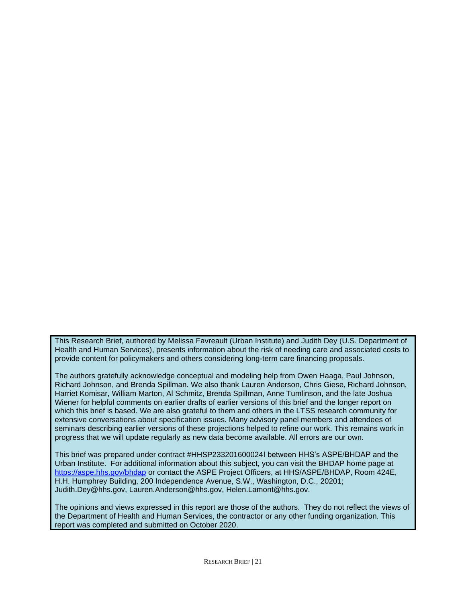This Research Brief, authored by Melissa Favreault (Urban Institute) and Judith Dey (U.S. Department of Health and Human Services), presents information about the risk of needing care and associated costs to provide content for policymakers and others considering long-term care financing proposals.

The authors gratefully acknowledge conceptual and modeling help from Owen Haaga, Paul Johnson, Richard Johnson, and Brenda Spillman. We also thank Lauren Anderson, Chris Giese, Richard Johnson, Harriet Komisar, William Marton, Al Schmitz, Brenda Spillman, Anne Tumlinson, and the late Joshua Wiener for helpful comments on earlier drafts of earlier versions of this brief and the longer report on which this brief is based. We are also grateful to them and others in the LTSS research community for extensive conversations about specification issues. Many advisory panel members and attendees of seminars describing earlier versions of these projections helped to refine our work. This remains work in progress that we will update regularly as new data become available. All errors are our own.

This brief was prepared under contract #HHSP233201600024I between HHS's ASPE/BHDAP and the Urban Institute. For additional information about this subject, you can visit the BHDAP home page at <https://aspe.hhs.gov/bhdap> or contact the ASPE Project Officers, at HHS/ASPE/BHDAP, Room 424E, H.H. Humphrey Building, 200 Independence Avenue, S.W., Washington, D.C., 20201; Judith.Dey@hhs.gov, Lauren.Anderson@hhs.gov, Helen.Lamont@hhs.gov.

The opinions and views expressed in this report are those of the authors. They do not reflect the views of the Department of Health and Human Services, the contractor or any other funding organization. This report was completed and submitted on October 2020.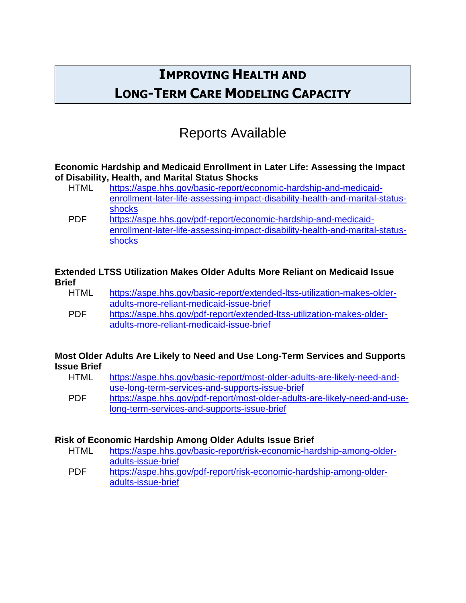# **IMPROVING HEALTH AND LONG-TERM CARE MODELING CAPACITY**

# Reports Available

### **Economic Hardship and Medicaid Enrollment in Later Life: Assessing the Impact of Disability, Health, and Marital Status Shocks**

- HTML [https://aspe.hhs.gov/basic-report/economic-hardship-and-medicaid](https://aspe.hhs.gov/basic-report/economic-hardship-and-medicaid-enrollment-later-life-assessing-impact-disability-health-and-marital-status-shocks)[enrollment-later-life-assessing-impact-disability-health-and-marital-status](https://aspe.hhs.gov/basic-report/economic-hardship-and-medicaid-enrollment-later-life-assessing-impact-disability-health-and-marital-status-shocks)[shocks](https://aspe.hhs.gov/basic-report/economic-hardship-and-medicaid-enrollment-later-life-assessing-impact-disability-health-and-marital-status-shocks)
- PDF [https://aspe.hhs.gov/pdf-report/economic-hardship-and-medicaid](https://aspe.hhs.gov/pdf-report/economic-hardship-and-medicaid-enrollment-later-life-assessing-impact-disability-health-and-marital-status-shocks)[enrollment-later-life-assessing-impact-disability-health-and-marital-status](https://aspe.hhs.gov/pdf-report/economic-hardship-and-medicaid-enrollment-later-life-assessing-impact-disability-health-and-marital-status-shocks)[shocks](https://aspe.hhs.gov/pdf-report/economic-hardship-and-medicaid-enrollment-later-life-assessing-impact-disability-health-and-marital-status-shocks)

### **Extended LTSS Utilization Makes Older Adults More Reliant on Medicaid Issue Brief**

| <b>HTML</b> | https://aspe.hhs.gov/basic-report/extended-ltss-utilization-makes-older- |
|-------------|--------------------------------------------------------------------------|
|             | adults-more-reliant-medicaid-issue-brief                                 |
| <b>PDF</b>  | https://aspe.hhs.gov/pdf-report/extended-ltss-utilization-makes-older-   |
|             | adults-more-reliant-medicaid-issue-brief                                 |

### **Most Older Adults Are Likely to Need and Use Long-Term Services and Supports Issue Brief**

| <b>HTML</b> | https://aspe.hhs.gov/basic-report/most-older-adults-are-likely-need-and-   |
|-------------|----------------------------------------------------------------------------|
|             | use-long-term-services-and-supports-issue-brief                            |
| <b>PDF</b>  | https://aspe.hhs.gov/pdf-report/most-older-adults-are-likely-need-and-use- |
|             | long-term-services-and-supports-issue-brief                                |

## **Risk of Economic Hardship Among Older Adults Issue Brief**

HTML [https://aspe.hhs.gov/basic-report/risk-economic-hardship-among-older](https://aspe.hhs.gov/basic-report/risk-economic-hardship-among-older-adults-issue-brief)[adults-issue-brief](https://aspe.hhs.gov/basic-report/risk-economic-hardship-among-older-adults-issue-brief) PDF [https://aspe.hhs.gov/pdf-report/risk-economic-hardship-among-older](https://aspe.hhs.gov/pdf-report/risk-economic-hardship-among-older-adults-issue-brief)[adults-issue-brief](https://aspe.hhs.gov/pdf-report/risk-economic-hardship-among-older-adults-issue-brief)